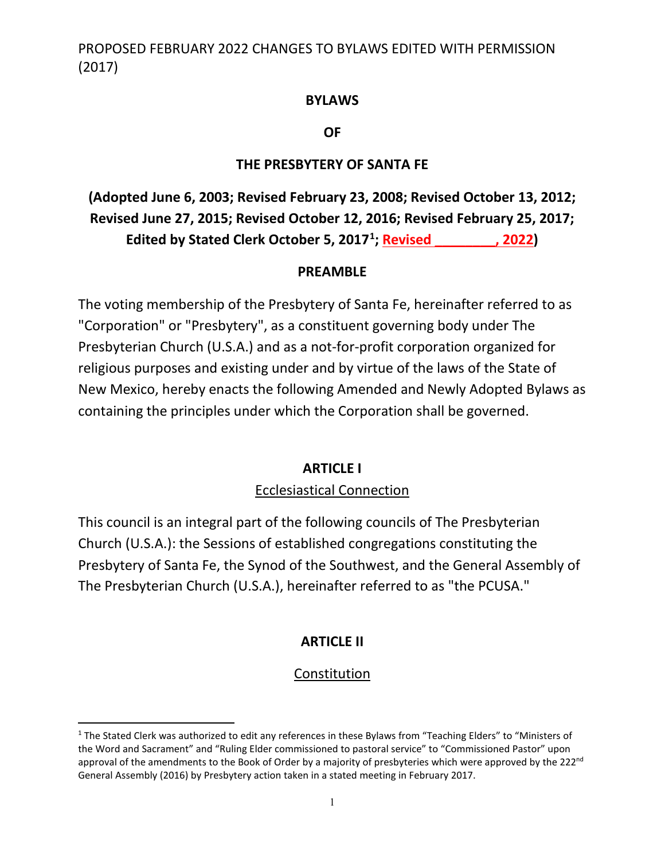#### **BYLAWS**

**OF**

#### **THE PRESBYTERY OF SANTA FE**

**(Adopted June 6, 2003; Revised February 23, 2008; Revised October 13, 2012; Revised June 27, 2015; Revised October 12, 2016; Revised February 25, 2017; Edited by Stated Clerk October 5, 2017[1](#page-0-0) ; Revised \_\_\_\_\_\_\_\_, 2022)**

#### **PREAMBLE**

The voting membership of the Presbytery of Santa Fe, hereinafter referred to as "Corporation" or "Presbytery", as a constituent governing body under The Presbyterian Church (U.S.A.) and as a not-for-profit corporation organized for religious purposes and existing under and by virtue of the laws of the State of New Mexico, hereby enacts the following Amended and Newly Adopted Bylaws as containing the principles under which the Corporation shall be governed.

#### **ARTICLE I**

#### Ecclesiastical Connection

This council is an integral part of the following councils of The Presbyterian Church (U.S.A.): the Sessions of established congregations constituting the Presbytery of Santa Fe, the Synod of the Southwest, and the General Assembly of The Presbyterian Church (U.S.A.), hereinafter referred to as "the PCUSA."

### **ARTICLE II**

### Constitution

<span id="page-0-0"></span><sup>&</sup>lt;sup>1</sup> The Stated Clerk was authorized to edit any references in these Bylaws from "Teaching Elders" to "Ministers of the Word and Sacrament" and "Ruling Elder commissioned to pastoral service" to "Commissioned Pastor" upon approval of the amendments to the Book of Order by a majority of presbyteries which were approved by the 222 $n$ d General Assembly (2016) by Presbytery action taken in a stated meeting in February 2017.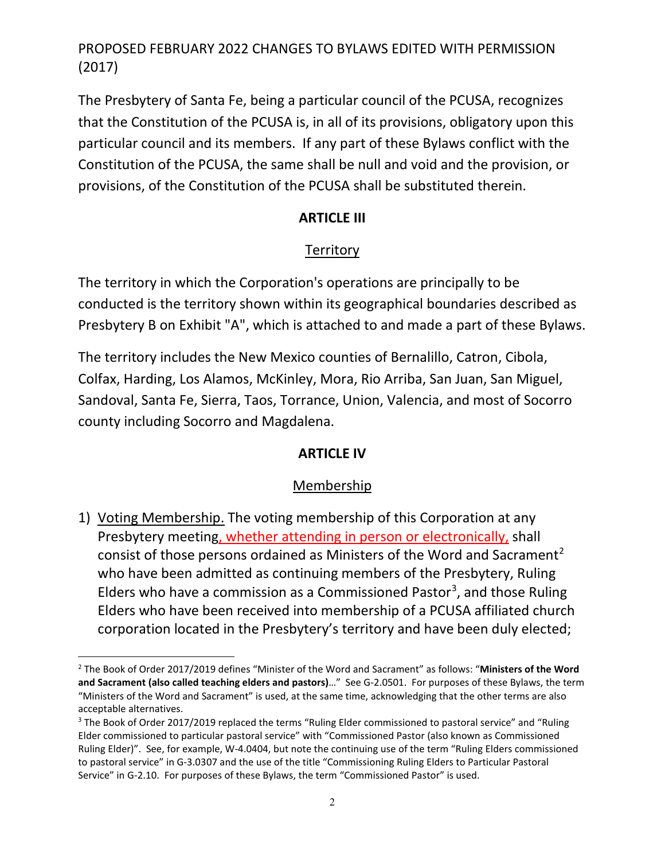The Presbytery of Santa Fe, being a particular council of the PCUSA, recognizes that the Constitution of the PCUSA is, in all of its provisions, obligatory upon this particular council and its members. If any part of these Bylaws conflict with the Constitution of the PCUSA, the same shall be null and void and the provision, or provisions, of the Constitution of the PCUSA shall be substituted therein.

### **ARTICLE III**

### **Territory**

The territory in which the Corporation's operations are principally to be conducted is the territory shown within its geographical boundaries described as Presbytery B on Exhibit "A", which is attached to and made a part of these Bylaws.

The territory includes the New Mexico counties of Bernalillo, Catron, Cibola, Colfax, Harding, Los Alamos, McKinley, Mora, Rio Arriba, San Juan, San Miguel, Sandoval, Santa Fe, Sierra, Taos, Torrance, Union, Valencia, and most of Socorro county including Socorro and Magdalena.

### **ARTICLE IV**

### Membership

1) Voting Membership. The voting membership of this Corporation at any Presbytery meeting, whether attending in person or electronically, shall consist of those persons ordained as Ministers of the Word and Sacrament<sup>[2](#page-1-0)</sup> who have been admitted as continuing members of the Presbytery, Ruling Elders who have a commission as a Commissioned Pastor<sup>[3](#page-1-1)</sup>, and those Ruling Elders who have been received into membership of a PCUSA affiliated church corporation located in the Presbytery's territory and have been duly elected;

<span id="page-1-0"></span><sup>2</sup> The Book of Order 2017/2019 defines "Minister of the Word and Sacrament" as follows: "**Ministers of the Word and Sacrament (also called teaching elders and pastors)**…" See G-2.0501. For purposes of these Bylaws, the term "Ministers of the Word and Sacrament" is used, at the same time, acknowledging that the other terms are also acceptable alternatives.

<span id="page-1-1"></span><sup>&</sup>lt;sup>3</sup> The Book of Order 2017/2019 replaced the terms "Ruling Elder commissioned to pastoral service" and "Ruling Elder commissioned to particular pastoral service" with "Commissioned Pastor (also known as Commissioned Ruling Elder)". See, for example, W-4.0404, but note the continuing use of the term "Ruling Elders commissioned to pastoral service" in G-3.0307 and the use of the title "Commissioning Ruling Elders to Particular Pastoral Service" in G-2.10. For purposes of these Bylaws, the term "Commissioned Pastor" is used.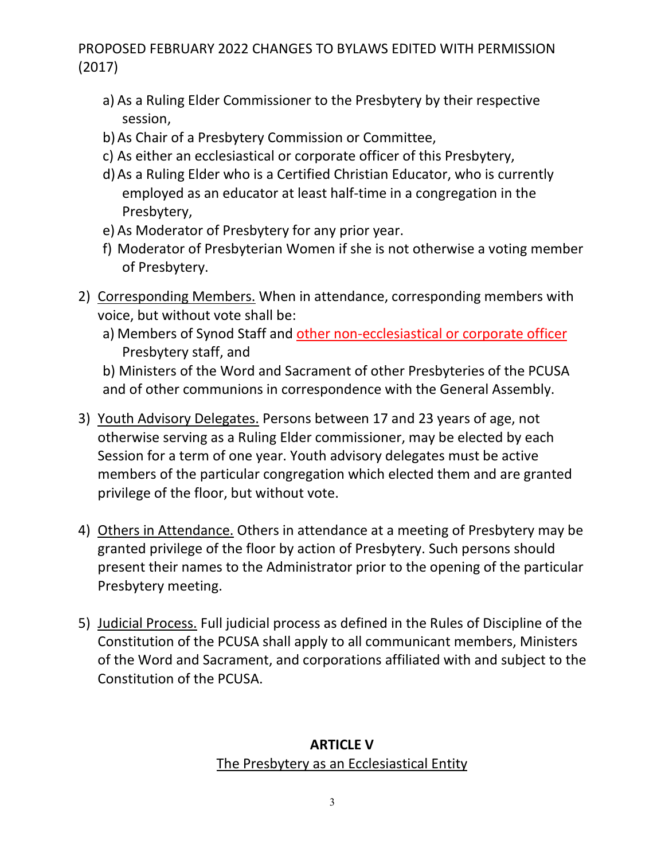- a) As a Ruling Elder Commissioner to the Presbytery by their respective session,
- b)As Chair of a Presbytery Commission or Committee,
- c) As either an ecclesiastical or corporate officer of this Presbytery,
- d)As a Ruling Elder who is a Certified Christian Educator, who is currently employed as an educator at least half-time in a congregation in the Presbytery,
- e) As Moderator of Presbytery for any prior year.
- f) Moderator of Presbyterian Women if she is not otherwise a voting member of Presbytery.
- 2) Corresponding Members. When in attendance, corresponding members with voice, but without vote shall be:
	- a) Members of Synod Staff and other non-ecclesiastical or corporate officer Presbytery staff, and

b) Ministers of the Word and Sacrament of other Presbyteries of the PCUSA and of other communions in correspondence with the General Assembly.

- 3) Youth Advisory Delegates. Persons between 17 and 23 years of age, not otherwise serving as a Ruling Elder commissioner, may be elected by each Session for a term of one year. Youth advisory delegates must be active members of the particular congregation which elected them and are granted privilege of the floor, but without vote.
- 4) Others in Attendance. Others in attendance at a meeting of Presbytery may be granted privilege of the floor by action of Presbytery. Such persons should present their names to the Administrator prior to the opening of the particular Presbytery meeting.
- 5) Judicial Process. Full judicial process as defined in the Rules of Discipline of the Constitution of the PCUSA shall apply to all communicant members, Ministers of the Word and Sacrament, and corporations affiliated with and subject to the Constitution of the PCUSA.

### **ARTICLE V** The Presbytery as an Ecclesiastical Entity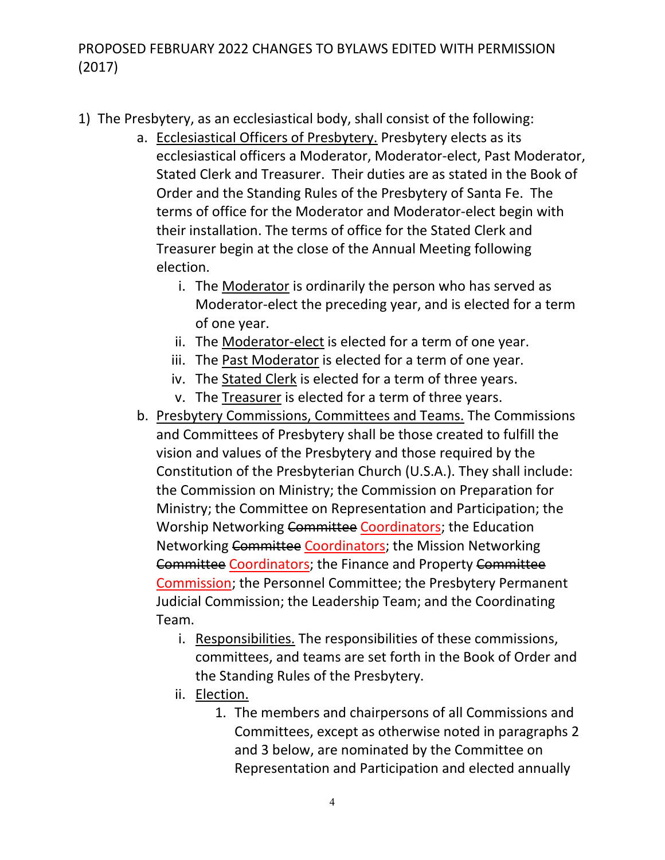- 1) The Presbytery, as an ecclesiastical body, shall consist of the following:
	- a. Ecclesiastical Officers of Presbytery. Presbytery elects as its ecclesiastical officers a Moderator, Moderator-elect, Past Moderator, Stated Clerk and Treasurer. Their duties are as stated in the Book of Order and the Standing Rules of the Presbytery of Santa Fe. The terms of office for the Moderator and Moderator-elect begin with their installation. The terms of office for the Stated Clerk and Treasurer begin at the close of the Annual Meeting following election.
		- i. The Moderator is ordinarily the person who has served as Moderator-elect the preceding year, and is elected for a term of one year.
		- ii. The Moderator-elect is elected for a term of one year.
		- iii. The Past Moderator is elected for a term of one year.
		- iv. The Stated Clerk is elected for a term of three years.
		- v. The Treasurer is elected for a term of three years.
	- b. Presbytery Commissions, Committees and Teams. The Commissions and Committees of Presbytery shall be those created to fulfill the vision and values of the Presbytery and those required by the Constitution of the Presbyterian Church (U.S.A.). They shall include: the Commission on Ministry; the Commission on Preparation for Ministry; the Committee on Representation and Participation; the Worship Networking Committee Coordinators; the Education Networking Committee Coordinators; the Mission Networking Committee Coordinators; the Finance and Property Committee Commission; the Personnel Committee; the Presbytery Permanent Judicial Commission; the Leadership Team; and the Coordinating Team.
		- i. Responsibilities. The responsibilities of these commissions, committees, and teams are set forth in the Book of Order and the Standing Rules of the Presbytery.
		- ii. Election.
			- 1. The members and chairpersons of all Commissions and Committees, except as otherwise noted in paragraphs 2 and 3 below, are nominated by the Committee on Representation and Participation and elected annually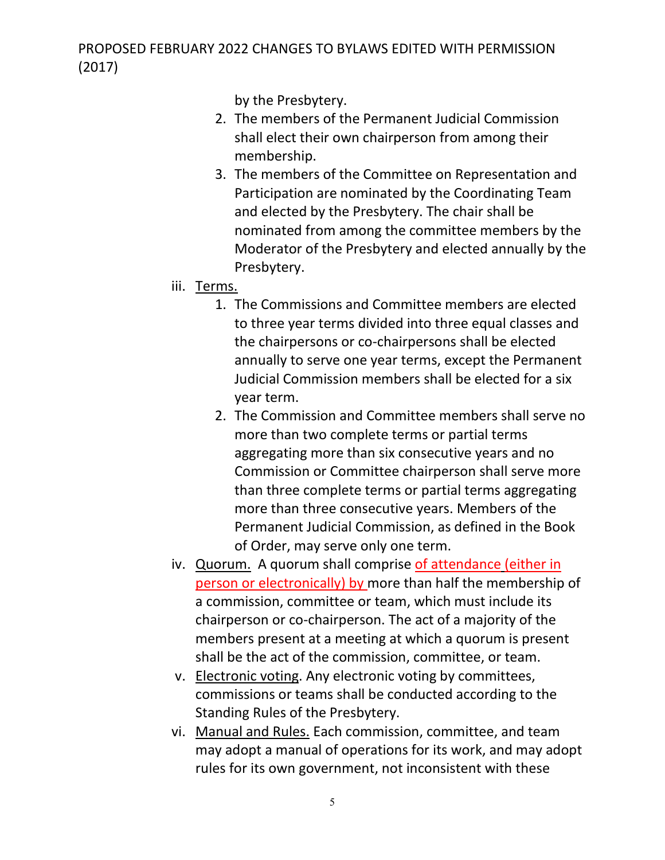by the Presbytery.

- 2. The members of the Permanent Judicial Commission shall elect their own chairperson from among their membership.
- 3. The members of the Committee on Representation and Participation are nominated by the Coordinating Team and elected by the Presbytery. The chair shall be nominated from among the committee members by the Moderator of the Presbytery and elected annually by the Presbytery.
- iii. Terms.
	- 1. The Commissions and Committee members are elected to three year terms divided into three equal classes and the chairpersons or co-chairpersons shall be elected annually to serve one year terms, except the Permanent Judicial Commission members shall be elected for a six year term.
	- 2. The Commission and Committee members shall serve no more than two complete terms or partial terms aggregating more than six consecutive years and no Commission or Committee chairperson shall serve more than three complete terms or partial terms aggregating more than three consecutive years. Members of the Permanent Judicial Commission, as defined in the Book of Order, may serve only one term.
- iv. Quorum. A quorum shall comprise of attendance (either in person or electronically) by more than half the membership of a commission, committee or team, which must include its chairperson or co-chairperson. The act of a majority of the members present at a meeting at which a quorum is present shall be the act of the commission, committee, or team.
- v. Electronic voting. Any electronic voting by committees, commissions or teams shall be conducted according to the Standing Rules of the Presbytery.
- vi. Manual and Rules. Each commission, committee, and team may adopt a manual of operations for its work, and may adopt rules for its own government, not inconsistent with these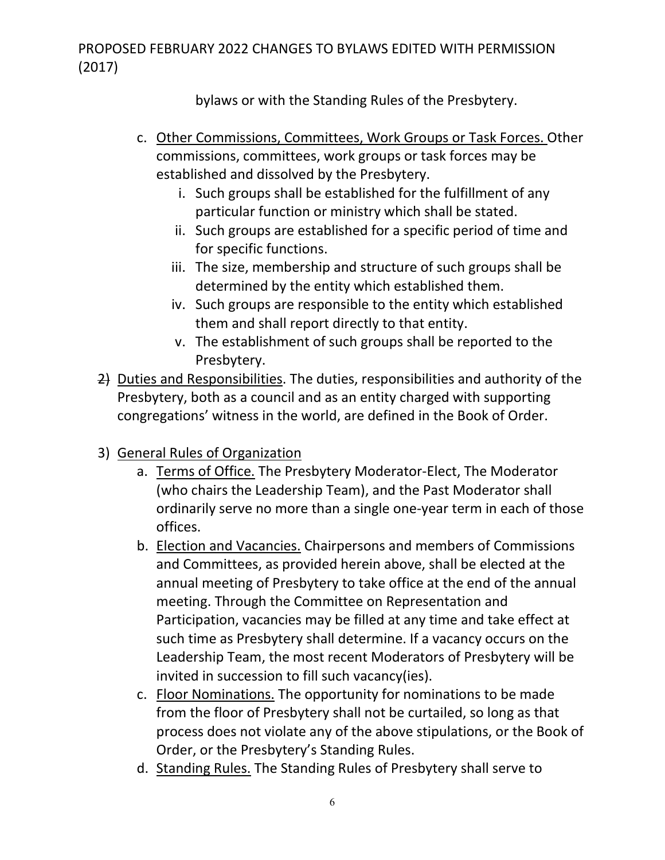bylaws or with the Standing Rules of the Presbytery.

- c. Other Commissions, Committees, Work Groups or Task Forces. Other commissions, committees, work groups or task forces may be established and dissolved by the Presbytery.
	- i. Such groups shall be established for the fulfillment of any particular function or ministry which shall be stated.
	- ii. Such groups are established for a specific period of time and for specific functions.
	- iii. The size, membership and structure of such groups shall be determined by the entity which established them.
	- iv. Such groups are responsible to the entity which established them and shall report directly to that entity.
	- v. The establishment of such groups shall be reported to the Presbytery.
- 2) Duties and Responsibilities. The duties, responsibilities and authority of the Presbytery, both as a council and as an entity charged with supporting congregations' witness in the world, are defined in the Book of Order.
- 3) General Rules of Organization
	- a. Terms of Office. The Presbytery Moderator-Elect, The Moderator (who chairs the Leadership Team), and the Past Moderator shall ordinarily serve no more than a single one-year term in each of those offices.
	- b. Election and Vacancies. Chairpersons and members of Commissions and Committees, as provided herein above, shall be elected at the annual meeting of Presbytery to take office at the end of the annual meeting. Through the Committee on Representation and Participation, vacancies may be filled at any time and take effect at such time as Presbytery shall determine. If a vacancy occurs on the Leadership Team, the most recent Moderators of Presbytery will be invited in succession to fill such vacancy(ies).
	- c. Floor Nominations. The opportunity for nominations to be made from the floor of Presbytery shall not be curtailed, so long as that process does not violate any of the above stipulations, or the Book of Order, or the Presbytery's Standing Rules.
	- d. Standing Rules. The Standing Rules of Presbytery shall serve to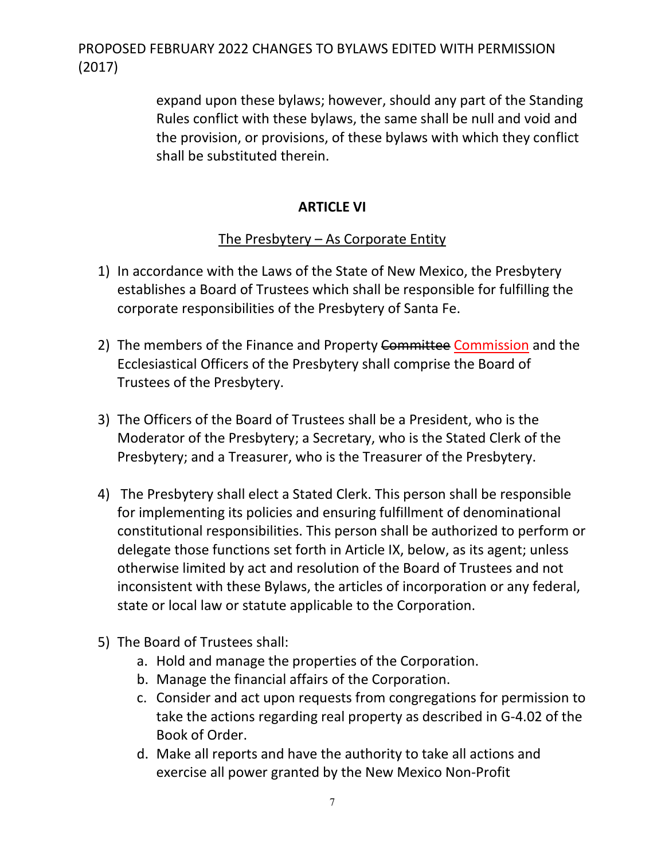> expand upon these bylaws; however, should any part of the Standing Rules conflict with these bylaws, the same shall be null and void and the provision, or provisions, of these bylaws with which they conflict shall be substituted therein.

### **ARTICLE VI**

### The Presbytery – As Corporate Entity

- 1) In accordance with the Laws of the State of New Mexico, the Presbytery establishes a Board of Trustees which shall be responsible for fulfilling the corporate responsibilities of the Presbytery of Santa Fe.
- 2) The members of the Finance and Property Committee Commission and the Ecclesiastical Officers of the Presbytery shall comprise the Board of Trustees of the Presbytery.
- 3) The Officers of the Board of Trustees shall be a President, who is the Moderator of the Presbytery; a Secretary, who is the Stated Clerk of the Presbytery; and a Treasurer, who is the Treasurer of the Presbytery.
- 4) The Presbytery shall elect a Stated Clerk. This person shall be responsible for implementing its policies and ensuring fulfillment of denominational constitutional responsibilities. This person shall be authorized to perform or delegate those functions set forth in Article IX, below, as its agent; unless otherwise limited by act and resolution of the Board of Trustees and not inconsistent with these Bylaws, the articles of incorporation or any federal, state or local law or statute applicable to the Corporation.
- 5) The Board of Trustees shall:
	- a. Hold and manage the properties of the Corporation.
	- b. Manage the financial affairs of the Corporation.
	- c. Consider and act upon requests from congregations for permission to take the actions regarding real property as described in G-4.02 of the Book of Order.
	- d. Make all reports and have the authority to take all actions and exercise all power granted by the New Mexico Non-Profit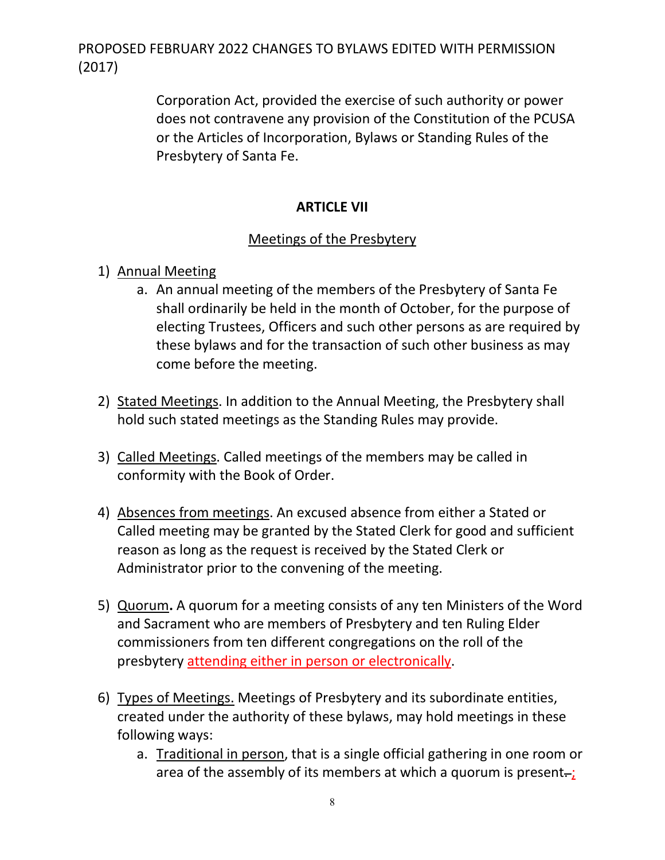> Corporation Act, provided the exercise of such authority or power does not contravene any provision of the Constitution of the PCUSA or the Articles of Incorporation, Bylaws or Standing Rules of the Presbytery of Santa Fe.

### **ARTICLE VII**

### Meetings of the Presbytery

- 1) Annual Meeting
	- a. An annual meeting of the members of the Presbytery of Santa Fe shall ordinarily be held in the month of October, for the purpose of electing Trustees, Officers and such other persons as are required by these bylaws and for the transaction of such other business as may come before the meeting.
- 2) Stated Meetings. In addition to the Annual Meeting, the Presbytery shall hold such stated meetings as the Standing Rules may provide.
- 3) Called Meetings. Called meetings of the members may be called in conformity with the Book of Order.
- 4) Absences from meetings. An excused absence from either a Stated or Called meeting may be granted by the Stated Clerk for good and sufficient reason as long as the request is received by the Stated Clerk or Administrator prior to the convening of the meeting.
- 5) Quorum**.** A quorum for a meeting consists of any ten Ministers of the Word and Sacrament who are members of Presbytery and ten Ruling Elder commissioners from ten different congregations on the roll of the presbytery attending either in person or electronically.
- 6) Types of Meetings. Meetings of Presbytery and its subordinate entities, created under the authority of these bylaws, may hold meetings in these following ways:
	- a. Traditional in person, that is a single official gathering in one room or area of the assembly of its members at which a quorum is present $-$ ;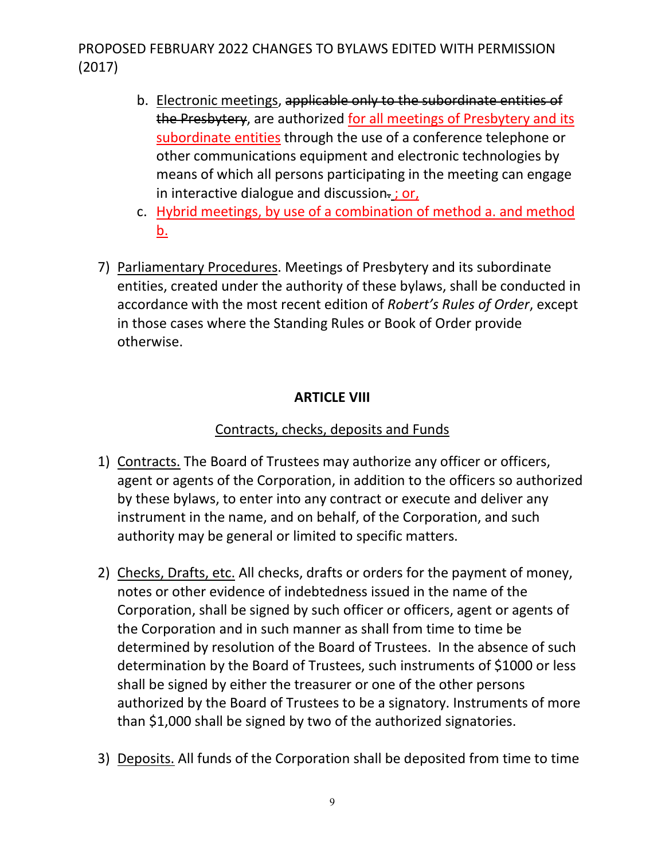- b. Electronic meetings, applicable only to the subordinate entities of the Presbytery, are authorized for all meetings of Presbytery and its subordinate entities through the use of a conference telephone or other communications equipment and electronic technologies by means of which all persons participating in the meeting can engage in interactive dialogue and discussion-; or,
- c. Hybrid meetings, by use of a combination of method a. and method b.
- 7) Parliamentary Procedures. Meetings of Presbytery and its subordinate entities, created under the authority of these bylaws, shall be conducted in accordance with the most recent edition of *Robert's Rules of Order*, except in those cases where the Standing Rules or Book of Order provide otherwise.

### **ARTICLE VIII**

### Contracts, checks, deposits and Funds

- 1) Contracts. The Board of Trustees may authorize any officer or officers, agent or agents of the Corporation, in addition to the officers so authorized by these bylaws, to enter into any contract or execute and deliver any instrument in the name, and on behalf, of the Corporation, and such authority may be general or limited to specific matters.
- 2) Checks, Drafts, etc. All checks, drafts or orders for the payment of money, notes or other evidence of indebtedness issued in the name of the Corporation, shall be signed by such officer or officers, agent or agents of the Corporation and in such manner as shall from time to time be determined by resolution of the Board of Trustees. In the absence of such determination by the Board of Trustees, such instruments of \$1000 or less shall be signed by either the treasurer or one of the other persons authorized by the Board of Trustees to be a signatory. Instruments of more than \$1,000 shall be signed by two of the authorized signatories.
- 3) Deposits. All funds of the Corporation shall be deposited from time to time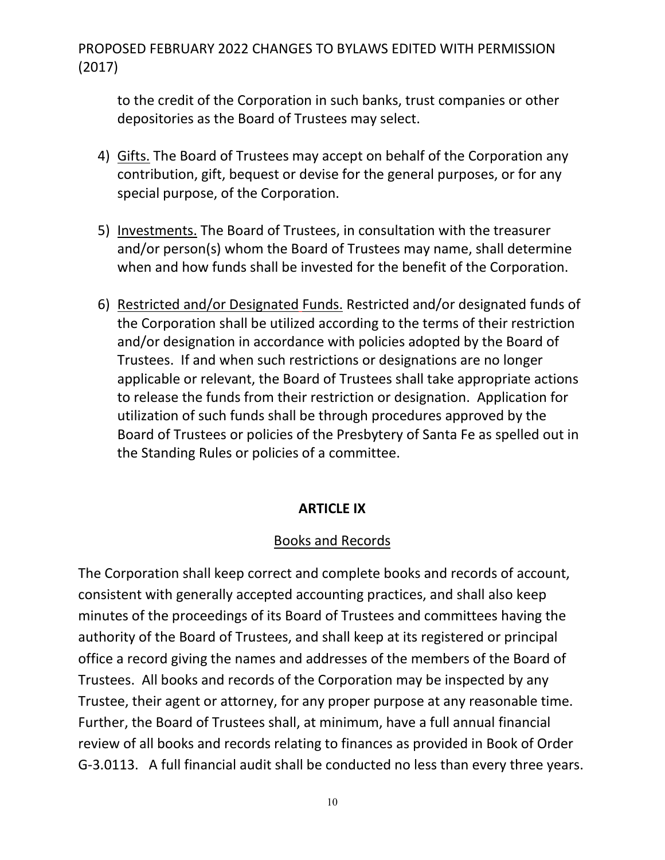to the credit of the Corporation in such banks, trust companies or other depositories as the Board of Trustees may select.

- 4) Gifts. The Board of Trustees may accept on behalf of the Corporation any contribution, gift, bequest or devise for the general purposes, or for any special purpose, of the Corporation.
- 5) Investments. The Board of Trustees, in consultation with the treasurer and/or person(s) whom the Board of Trustees may name, shall determine when and how funds shall be invested for the benefit of the Corporation.
- 6) Restricted and/or Designated Funds. Restricted and/or designated funds of the Corporation shall be utilized according to the terms of their restriction and/or designation in accordance with policies adopted by the Board of Trustees. If and when such restrictions or designations are no longer applicable or relevant, the Board of Trustees shall take appropriate actions to release the funds from their restriction or designation. Application for utilization of such funds shall be through procedures approved by the Board of Trustees or policies of the Presbytery of Santa Fe as spelled out in the Standing Rules or policies of a committee.

### **ARTICLE IX**

### Books and Records

The Corporation shall keep correct and complete books and records of account, consistent with generally accepted accounting practices, and shall also keep minutes of the proceedings of its Board of Trustees and committees having the authority of the Board of Trustees, and shall keep at its registered or principal office a record giving the names and addresses of the members of the Board of Trustees. All books and records of the Corporation may be inspected by any Trustee, their agent or attorney, for any proper purpose at any reasonable time. Further, the Board of Trustees shall, at minimum, have a full annual financial review of all books and records relating to finances as provided in Book of Order G-3.0113. A full financial audit shall be conducted no less than every three years.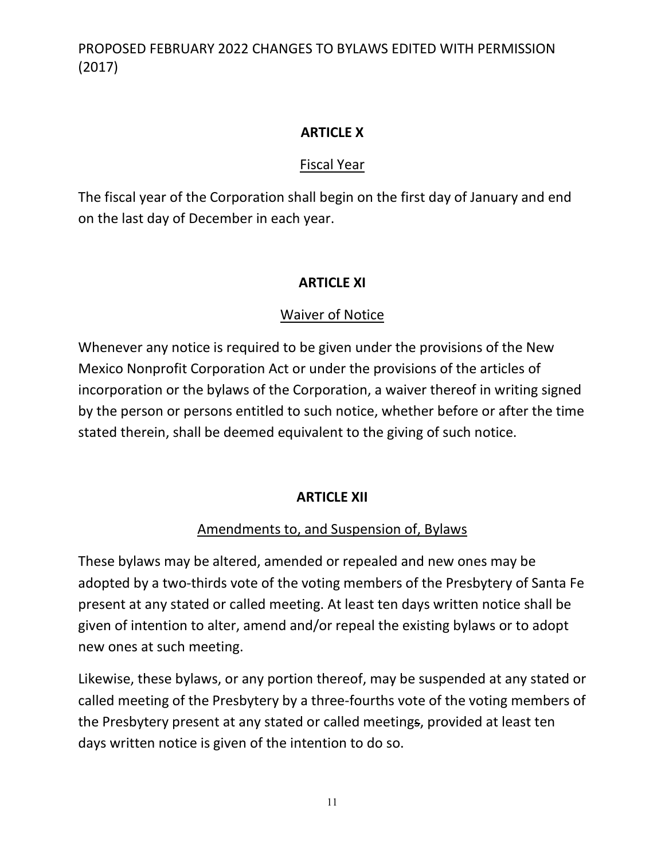### **ARTICLE X**

### Fiscal Year

The fiscal year of the Corporation shall begin on the first day of January and end on the last day of December in each year.

### **ARTICLE XI**

### Waiver of Notice

Whenever any notice is required to be given under the provisions of the New Mexico Nonprofit Corporation Act or under the provisions of the articles of incorporation or the bylaws of the Corporation, a waiver thereof in writing signed by the person or persons entitled to such notice, whether before or after the time stated therein, shall be deemed equivalent to the giving of such notice.

### **ARTICLE XII**

### Amendments to, and Suspension of, Bylaws

These bylaws may be altered, amended or repealed and new ones may be adopted by a two-thirds vote of the voting members of the Presbytery of Santa Fe present at any stated or called meeting. At least ten days written notice shall be given of intention to alter, amend and/or repeal the existing bylaws or to adopt new ones at such meeting.

Likewise, these bylaws, or any portion thereof, may be suspended at any stated or called meeting of the Presbytery by a three-fourths vote of the voting members of the Presbytery present at any stated or called meetings, provided at least ten days written notice is given of the intention to do so.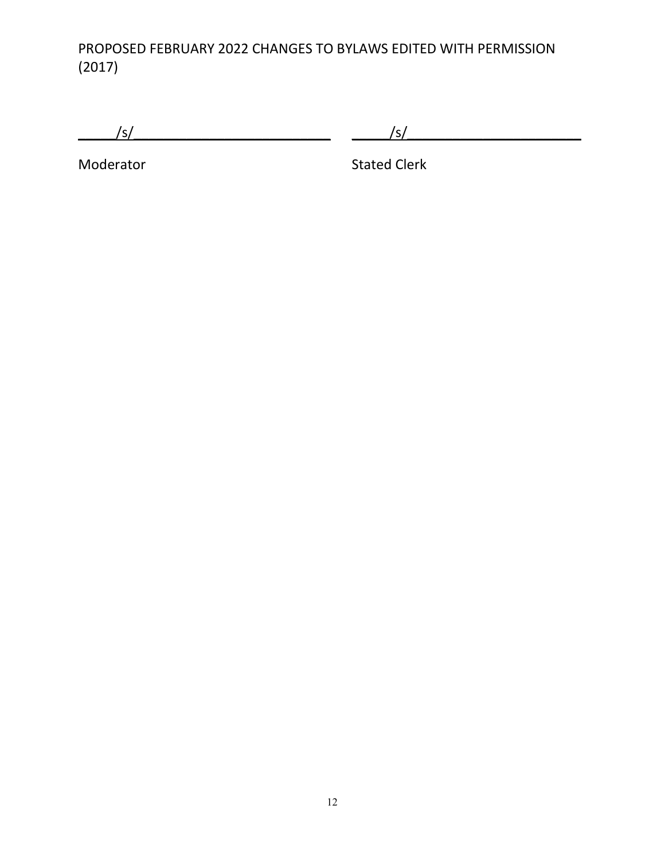$\frac{|s|}{\sqrt{2\pi}}$  ,  $\frac{|s|}{\sqrt{2\pi}}$  ,  $\frac{|s|}{\sqrt{2\pi}}$ 

Moderator **Moderator** Stated Clerk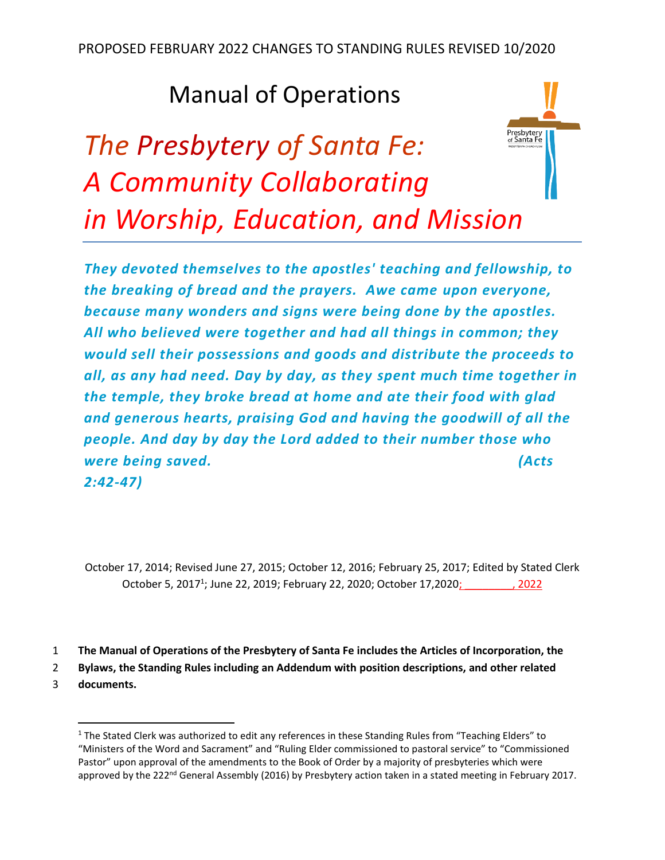# Manual of Operations

# Presbytery<br>of Santa Fe *The Presbytery of Santa Fe: A Community Collaborating in Worship, Education, and Mission*



October 17, 2014; Revised June 27, 2015; October 12, 2016; February 25, 2017; Edited by Stated Clerk October 5, 2017<sup>1</sup>; June 22, 2019; February 22, 2020; October 17,2020; 1988, 2022

1 **The Manual of Operations of the Presbytery of Santa Fe includes the Articles of Incorporation, the**

2 **Bylaws, the Standing Rules including an Addendum with position descriptions, and other related** 

3 **documents.** 

 $1$  The Stated Clerk was authorized to edit any references in these Standing Rules from "Teaching Elders" to "Ministers of the Word and Sacrament" and "Ruling Elder commissioned to pastoral service" to "Commissioned Pastor" upon approval of the amendments to the Book of Order by a majority of presbyteries which were approved by the 222<sup>nd</sup> General Assembly (2016) by Presbytery action taken in a stated meeting in February 2017.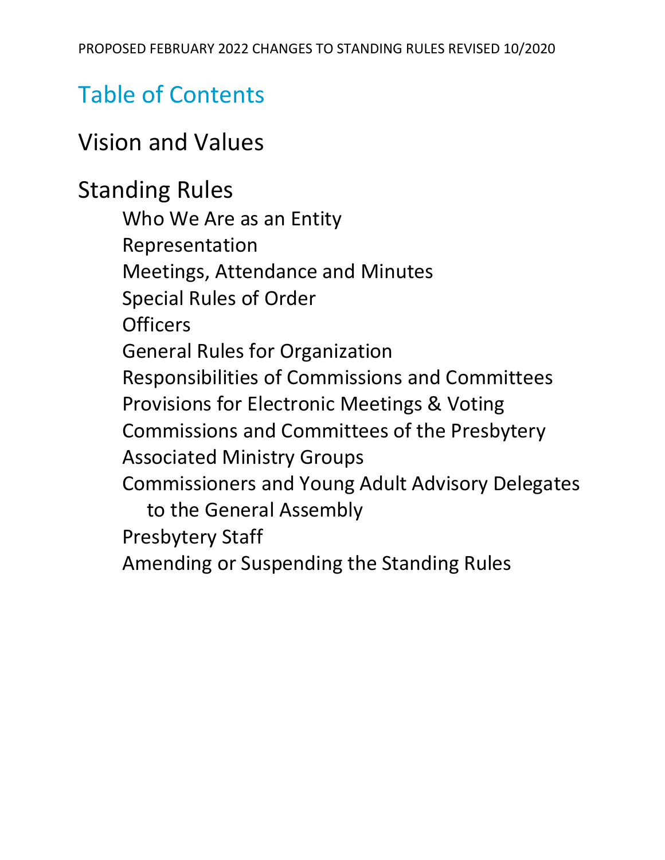# Table of Contents

# Vision and Values

# Standing Rules

Who We Are as an Entity Representation Meetings, Attendance and Minutes Special Rules of Order **Officers** General Rules for Organization Responsibilities of Commissions and Committees Provisions for Electronic Meetings & Voting Commissions and Committees of the Presbytery Associated Ministry Groups Commissioners and Young Adult Advisory Delegates to the General Assembly Presbytery Staff Amending or Suspending the Standing Rules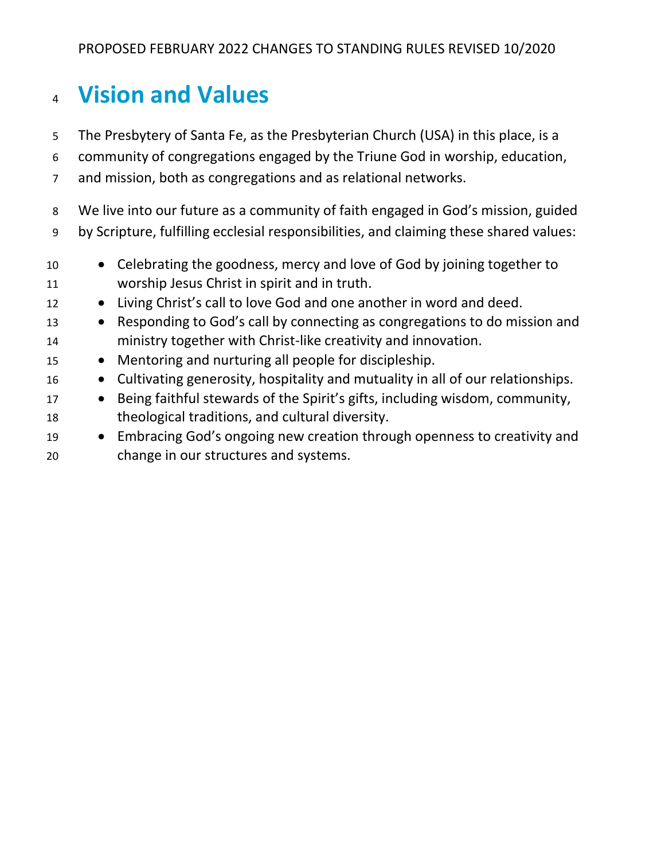# **Vision and Values**

- The Presbytery of Santa Fe, as the Presbyterian Church (USA) in this place, is a
- community of congregations engaged by the Triune God in worship, education,
- and mission, both as congregations and as relational networks.

 We live into our future as a community of faith engaged in God's mission, guided by Scripture, fulfilling ecclesial responsibilities, and claiming these shared values:

- Celebrating the goodness, mercy and love of God by joining together to worship Jesus Christ in spirit and in truth.
- 12 Living Christ's call to love God and one another in word and deed.
- Responding to God's call by connecting as congregations to do mission and ministry together with Christ-like creativity and innovation.
- Mentoring and nurturing all people for discipleship.
- Cultivating generosity, hospitality and mutuality in all of our relationships.
- Being faithful stewards of the Spirit's gifts, including wisdom, community, theological traditions, and cultural diversity.
- Embracing God's ongoing new creation through openness to creativity and change in our structures and systems.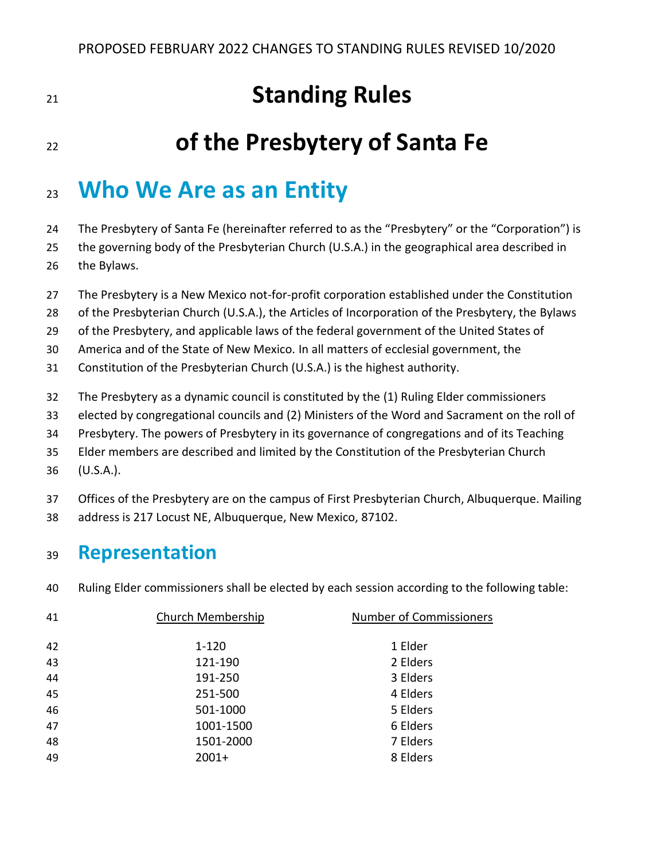# **Standing Rules**

# **of the Presbytery of Santa Fe**

# **Who We Are as an Entity**

24 The Presbytery of Santa Fe (hereinafter referred to as the "Presbytery" or the "Corporation") is

the governing body of the Presbyterian Church (U.S.A.) in the geographical area described in

- the Bylaws.
- The Presbytery is a New Mexico not-for-profit corporation established under the Constitution
- of the Presbyterian Church (U.S.A.), the Articles of Incorporation of the Presbytery, the Bylaws
- of the Presbytery, and applicable laws of the federal government of the United States of

America and of the State of New Mexico. In all matters of ecclesial government, the

- Constitution of the Presbyterian Church (U.S.A.) is the highest authority.
- The Presbytery as a dynamic council is constituted by the (1) Ruling Elder commissioners
- elected by congregational councils and (2) Ministers of the Word and Sacrament on the roll of
- Presbytery. The powers of Presbytery in its governance of congregations and of its Teaching
- Elder members are described and limited by the Constitution of the Presbyterian Church
- (U.S.A.).
- Offices of the Presbytery are on the campus of First Presbyterian Church, Albuquerque. Mailing
- address is 217 Locust NE, Albuquerque, New Mexico, 87102.

### **Representation**

Ruling Elder commissioners shall be elected by each session according to the following table:

| 41 | Church Membership | <b>Number of Commissioners</b> |
|----|-------------------|--------------------------------|
|    |                   |                                |
| 42 | $1 - 120$         | 1 Elder                        |
| 43 | 121-190           | 2 Elders                       |
| 44 | 191-250           | 3 Elders                       |
| 45 | 251-500           | 4 Elders                       |
| 46 | 501-1000          | 5 Elders                       |
| 47 | 1001-1500         | 6 Elders                       |
| 48 | 1501-2000         | 7 Elders                       |
| 49 | $2001+$           | 8 Elders                       |
|    |                   |                                |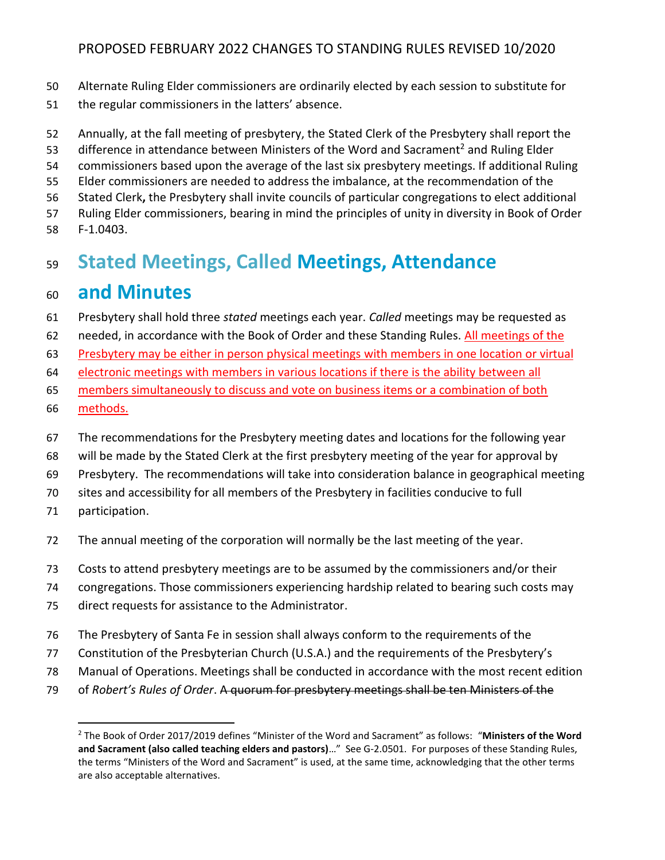- Alternate Ruling Elder commissioners are ordinarily elected by each session to substitute for
- the regular commissioners in the latters' absence.
- Annually, at the fall meeting of presbytery, the Stated Clerk of the Presbytery shall report the
- 53 difference in attendance between Ministers of the Word and Sacrament<sup>2</sup> and Ruling Elder
- commissioners based upon the average of the last six presbytery meetings. If additional Ruling
- Elder commissioners are needed to address the imbalance, at the recommendation of the
- Stated Clerk**,** the Presbytery shall invite councils of particular congregations to elect additional
- Ruling Elder commissioners, bearing in mind the principles of unity in diversity in Book of Order
- F-1.0403.

## **Stated Meetings, Called Meetings, Attendance**

### **and Minutes**

- Presbytery shall hold three *stated* meetings each year. *Called* meetings may be requested as
- needed, in accordance with the Book of Order and these Standing Rules. All meetings of the
- Presbytery may be either in person physical meetings with members in one location or virtual
- electronic meetings with members in various locations if there is the ability between all
- members simultaneously to discuss and vote on business items or a combination of both
- methods.
- The recommendations for the Presbytery meeting dates and locations for the following year
- will be made by the Stated Clerk at the first presbytery meeting of the year for approval by
- Presbytery. The recommendations will take into consideration balance in geographical meeting
- sites and accessibility for all members of the Presbytery in facilities conducive to full
- participation.
- The annual meeting of the corporation will normally be the last meeting of the year.
- Costs to attend presbytery meetings are to be assumed by the commissioners and/or their
- congregations. Those commissioners experiencing hardship related to bearing such costs may
- direct requests for assistance to the Administrator.
- The Presbytery of Santa Fe in session shall always conform to the requirements of the
- Constitution of the Presbyterian Church (U.S.A.) and the requirements of the Presbytery's
- Manual of Operations. Meetings shall be conducted in accordance with the most recent edition
- of *Robert's Rules of Order*. A quorum for presbytery meetings shall be ten Ministers of the

 The Book of Order 2017/2019 defines "Minister of the Word and Sacrament" as follows: "**Ministers of the Word and Sacrament (also called teaching elders and pastors)**…" See G-2.0501. For purposes of these Standing Rules, the terms "Ministers of the Word and Sacrament" is used, at the same time, acknowledging that the other terms are also acceptable alternatives.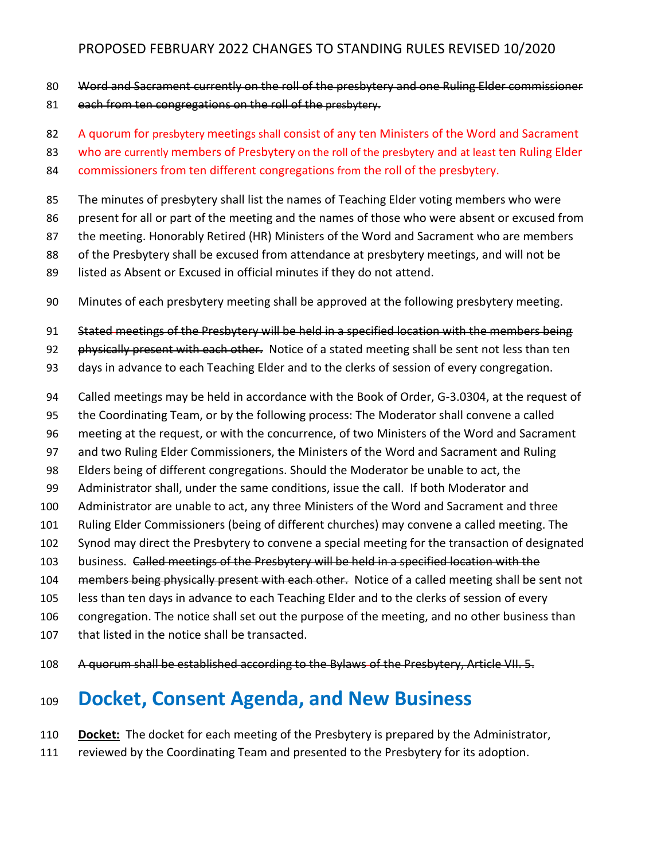- Word and Sacrament currently on the roll of the presbytery and one Ruling Elder commissioner
- 81 each from ten congregations on the roll of the presbytery.

A quorum for presbytery meetings shall consist of any ten Ministers of the Word and Sacrament

83 who are currently members of Presbytery on the roll of the presbytery and at least ten Ruling Elder

commissioners from ten different congregations from the roll of the presbytery.

The minutes of presbytery shall list the names of Teaching Elder voting members who were

- present for all or part of the meeting and the names of those who were absent or excused from
- 87 the meeting. Honorably Retired (HR) Ministers of the Word and Sacrament who are members
- of the Presbytery shall be excused from attendance at presbytery meetings, and will not be
- listed as Absent or Excused in official minutes if they do not attend.
- Minutes of each presbytery meeting shall be approved at the following presbytery meeting.

Stated meetings of the Presbytery will be held in a specified location with the members being

92 physically present with each other. Notice of a stated meeting shall be sent not less than ten

- days in advance to each Teaching Elder and to the clerks of session of every congregation.
- Called meetings may be held in accordance with the Book of Order, G-3.0304, at the request of
- the Coordinating Team, or by the following process: The Moderator shall convene a called
- meeting at the request, or with the concurrence, of two Ministers of the Word and Sacrament
- and two Ruling Elder Commissioners, the Ministers of the Word and Sacrament and Ruling
- Elders being of different congregations. Should the Moderator be unable to act, the
- Administrator shall, under the same conditions, issue the call. If both Moderator and
- Administrator are unable to act, any three Ministers of the Word and Sacrament and three
- Ruling Elder Commissioners (being of different churches) may convene a called meeting. The
- Synod may direct the Presbytery to convene a special meeting for the transaction of designated
- 103 business. Called meetings of the Presbytery will be held in a specified location with the
- 104 members being physically present with each other. Notice of a called meeting shall be sent not
- less than ten days in advance to each Teaching Elder and to the clerks of session of every
- congregation. The notice shall set out the purpose of the meeting, and no other business than
- that listed in the notice shall be transacted.
- 108 A guorum shall be established according to the Bylaws of the Presbytery, Article VII. 5.

## **Docket, Consent Agenda, and New Business**

- **Docket:** The docket for each meeting of the Presbytery is prepared by the Administrator,
- reviewed by the Coordinating Team and presented to the Presbytery for its adoption.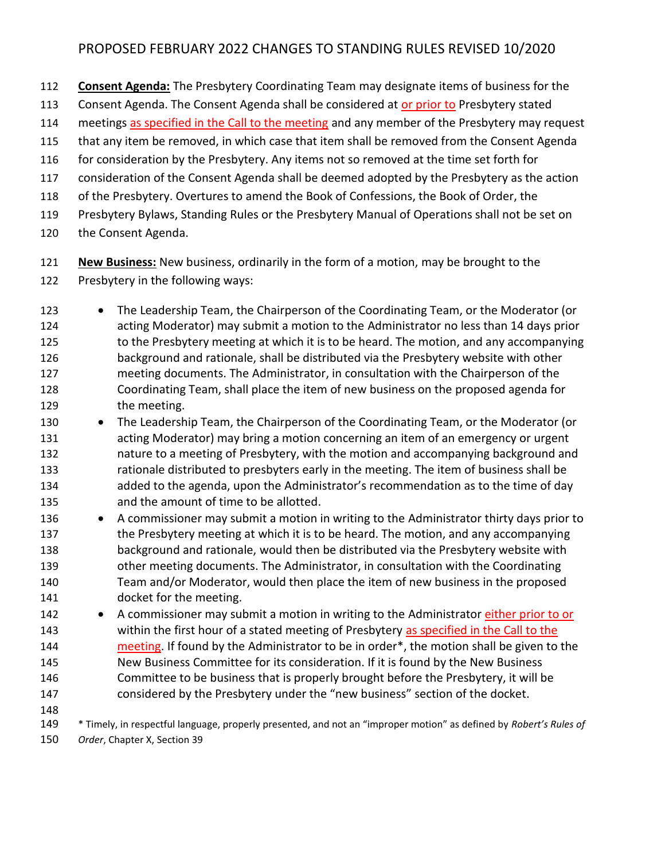- **Consent Agenda:** The Presbytery Coordinating Team may designate items of business for the
- Consent Agenda. The Consent Agenda shall be considered at or prior to Presbytery stated
- meetings as specified in the Call to the meeting and any member of the Presbytery may request
- that any item be removed, in which case that item shall be removed from the Consent Agenda
- 116 for consideration by the Presbytery. Any items not so removed at the time set forth for
- consideration of the Consent Agenda shall be deemed adopted by the Presbytery as the action
- of the Presbytery. Overtures to amend the Book of Confessions, the Book of Order, the
- Presbytery Bylaws, Standing Rules or the Presbytery Manual of Operations shall not be set on
- the Consent Agenda.
- **New Business:** New business, ordinarily in the form of a motion, may be brought to the
- Presbytery in the following ways:
- 123 The Leadership Team, the Chairperson of the Coordinating Team, or the Moderator (or acting Moderator) may submit a motion to the Administrator no less than 14 days prior 125 to the Presbytery meeting at which it is to be heard. The motion, and any accompanying background and rationale, shall be distributed via the Presbytery website with other meeting documents. The Administrator, in consultation with the Chairperson of the Coordinating Team, shall place the item of new business on the proposed agenda for the meeting.
- The Leadership Team, the Chairperson of the Coordinating Team, or the Moderator (or acting Moderator) may bring a motion concerning an item of an emergency or urgent nature to a meeting of Presbytery, with the motion and accompanying background and 133 rationale distributed to presbyters early in the meeting. The item of business shall be added to the agenda, upon the Administrator's recommendation as to the time of day and the amount of time to be allotted.
- A commissioner may submit a motion in writing to the Administrator thirty days prior to the Presbytery meeting at which it is to be heard. The motion, and any accompanying background and rationale, would then be distributed via the Presbytery website with other meeting documents. The Administrator, in consultation with the Coordinating Team and/or Moderator, would then place the item of new business in the proposed docket for the meeting.
- A commissioner may submit a motion in writing to the Administrator either prior to or 143 within the first hour of a stated meeting of Presbytery as specified in the Call to the meeting. If found by the Administrator to be in order\*, the motion shall be given to the New Business Committee for its consideration. If it is found by the New Business
- Committee to be business that is properly brought before the Presbytery, it will be considered by the Presbytery under the "new business" section of the docket.
- 
- \* Timely, in respectful language, properly presented, and not an "improper motion" as defined by *Robert's Rules of Order*, Chapter X, Section 39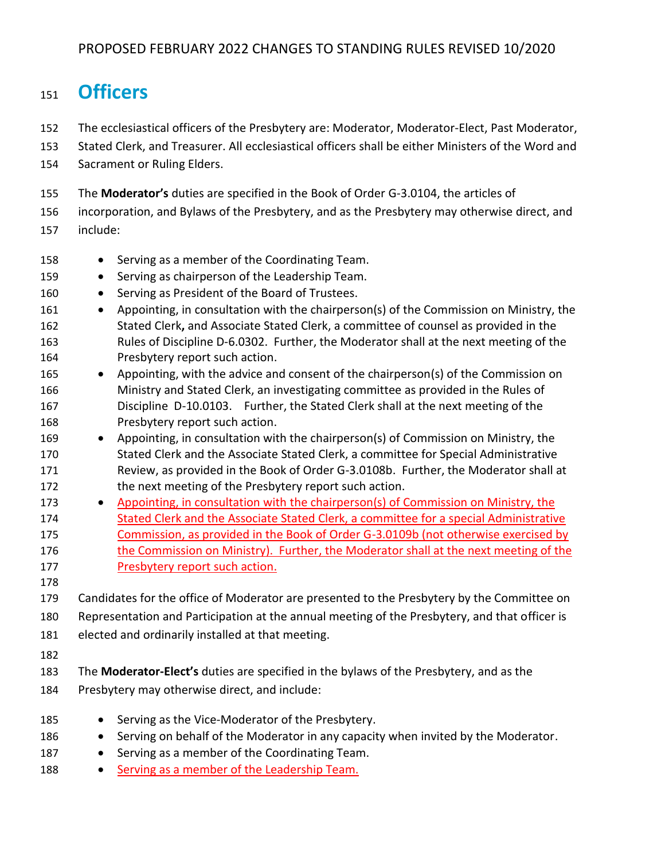### **Officers**

- The ecclesiastical officers of the Presbytery are: Moderator, Moderator-Elect, Past Moderator,
- Stated Clerk, and Treasurer. All ecclesiastical officers shall be either Ministers of the Word and
- Sacrament or Ruling Elders.
- The **Moderator's** duties are specified in the Book of Order G-3.0104, the articles of
- incorporation, and Bylaws of the Presbytery, and as the Presbytery may otherwise direct, and
- include:
- 158 Serving as a member of the Coordinating Team.
- 159 Serving as chairperson of the Leadership Team.
- 160 Serving as President of the Board of Trustees.
- Appointing, in consultation with the chairperson(s) of the Commission on Ministry, the Stated Clerk**,** and Associate Stated Clerk, a committee of counsel as provided in the Rules of Discipline D-6.0302. Further, the Moderator shall at the next meeting of the Presbytery report such action.
- 165 Appointing, with the advice and consent of the chairperson(s) of the Commission on Ministry and Stated Clerk, an investigating committee as provided in the Rules of Discipline D-10.0103.Further, the Stated Clerk shall at the next meeting of the Presbytery report such action.
- Appointing, in consultation with the chairperson(s) of Commission on Ministry, the Stated Clerk and the Associate Stated Clerk, a committee for Special Administrative Review, as provided in the Book of Order G-3.0108b. Further, the Moderator shall at 172 the next meeting of the Presbytery report such action.
- Appointing, in consultation with the chairperson(s) of Commission on Ministry, the Stated Clerk and the Associate Stated Clerk, a committee for a special Administrative Commission, as provided in the Book of Order G-3.0109b (not otherwise exercised by 176 the Commission on Ministry). Further, the Moderator shall at the next meeting of the Presbytery report such action.
- 
- Candidates for the office of Moderator are presented to the Presbytery by the Committee on Representation and Participation at the annual meeting of the Presbytery, and that officer is elected and ordinarily installed at that meeting.
- 
- The **Moderator-Elect's** duties are specified in the bylaws of the Presbytery, and as the Presbytery may otherwise direct, and include:
- 185 Serving as the Vice-Moderator of the Presbytery. • Serving on behalf of the Moderator in any capacity when invited by the Moderator. 187 • Serving as a member of the Coordinating Team.
- 188 Serving as a member of the Leadership Team.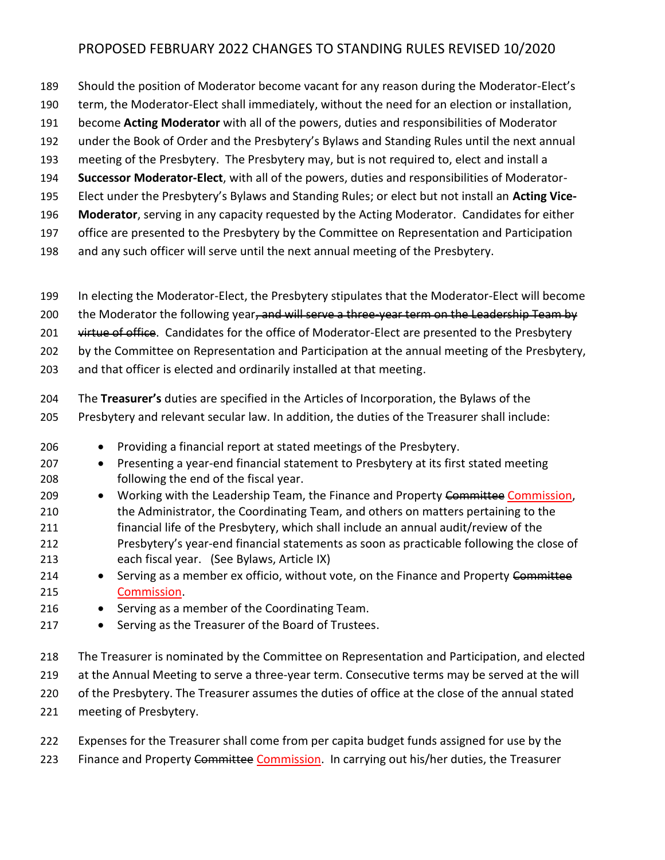- Should the position of Moderator become vacant for any reason during the Moderator-Elect's
- term, the Moderator-Elect shall immediately, without the need for an election or installation,
- become **Acting Moderator** with all of the powers, duties and responsibilities of Moderator
- under the Book of Order and the Presbytery's Bylaws and Standing Rules until the next annual
- meeting of the Presbytery. The Presbytery may, but is not required to, elect and install a
- **Successor Moderator-Elect**, with all of the powers, duties and responsibilities of Moderator-
- Elect under the Presbytery's Bylaws and Standing Rules; or elect but not install an **Acting Vice-**
- **Moderator**, serving in any capacity requested by the Acting Moderator. Candidates for either
- office are presented to the Presbytery by the Committee on Representation and Participation
- and any such officer will serve until the next annual meeting of the Presbytery.
- In electing the Moderator-Elect, the Presbytery stipulates that the Moderator-Elect will become
- 200 the Moderator the following year, and will serve a three-year term on the Leadership Team by
- 201 virtue of office. Candidates for the office of Moderator-Elect are presented to the Presbytery
- by the Committee on Representation and Participation at the annual meeting of the Presbytery,
- and that officer is elected and ordinarily installed at that meeting.
- The **Treasurer's** duties are specified in the Articles of Incorporation, the Bylaws of the
- Presbytery and relevant secular law. In addition, the duties of the Treasurer shall include:
- Providing a financial report at stated meetings of the Presbytery.
- 207 Presenting a year-end financial statement to Presbytery at its first stated meeting following the end of the fiscal year.
- 209 Working with the Leadership Team, the Finance and Property Committee Commission, the Administrator, the Coordinating Team, and others on matters pertaining to the financial life of the Presbytery, which shall include an annual audit/review of the Presbytery's year-end financial statements as soon as practicable following the close of
- each fiscal year. (See Bylaws, Article IX)
- 214 Serving as a member ex officio, without vote, on the Finance and Property Committee Commission.
- Serving as a member of the Coordinating Team.
- Serving as the Treasurer of the Board of Trustees.
- The Treasurer is nominated by the Committee on Representation and Participation, and elected 219 at the Annual Meeting to serve a three-year term. Consecutive terms may be served at the will 220 of the Presbytery. The Treasurer assumes the duties of office at the close of the annual stated meeting of Presbytery.
- Expenses for the Treasurer shall come from per capita budget funds assigned for use by the 223 Finance and Property Committee Commission. In carrying out his/her duties, the Treasurer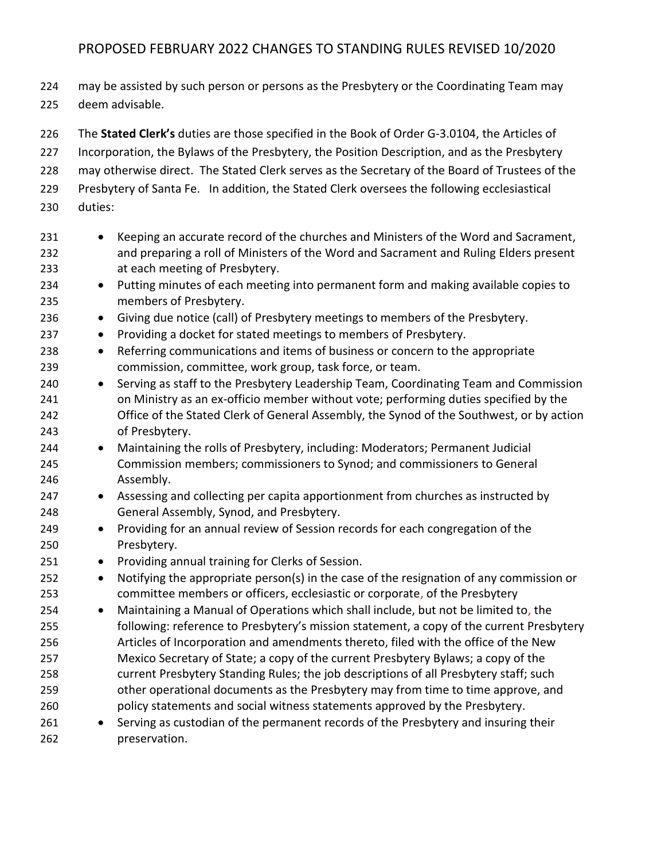224 may be assisted by such person or persons as the Presbytery or the Coordinating Team may deem advisable.

 The **Stated Clerk's** duties are those specified in the Book of Order G-3.0104, the Articles of Incorporation, the Bylaws of the Presbytery, the Position Description, and as the Presbytery may otherwise direct. The Stated Clerk serves as the Secretary of the Board of Trustees of the Presbytery of Santa Fe. In addition, the Stated Clerk oversees the following ecclesiastical duties:

- Keeping an accurate record of the churches and Ministers of the Word and Sacrament, and preparing a roll of Ministers of the Word and Sacrament and Ruling Elders present at each meeting of Presbytery.
- Putting minutes of each meeting into permanent form and making available copies to members of Presbytery.
- Giving due notice (call) of Presbytery meetings to members of the Presbytery.
- Providing a docket for stated meetings to members of Presbytery.
- Referring communications and items of business or concern to the appropriate commission, committee, work group, task force, or team.
- Serving as staff to the Presbytery Leadership Team, Coordinating Team and Commission on Ministry as an ex-officio member without vote; performing duties specified by the Office of the Stated Clerk of General Assembly, the Synod of the Southwest, or by action of Presbytery.
- Maintaining the rolls of Presbytery, including: Moderators; Permanent Judicial Commission members; commissioners to Synod; and commissioners to General Assembly.
- Assessing and collecting per capita apportionment from churches as instructed by General Assembly, Synod, and Presbytery.
- Providing for an annual review of Session records for each congregation of the Presbytery.
- Providing annual training for Clerks of Session.
- Notifying the appropriate person(s) in the case of the resignation of any commission or committee members or officers, ecclesiastic or corporate, of the Presbytery
- Maintaining a Manual of Operations which shall include, but not be limited to, the following: reference to Presbytery's mission statement, a copy of the current Presbytery Articles of Incorporation and amendments thereto, filed with the office of the New Mexico Secretary of State; a copy of the current Presbytery Bylaws; a copy of the current Presbytery Standing Rules; the job descriptions of all Presbytery staff; such other operational documents as the Presbytery may from time to time approve, and policy statements and social witness statements approved by the Presbytery.
- Serving as custodian of the permanent records of the Presbytery and insuring their preservation.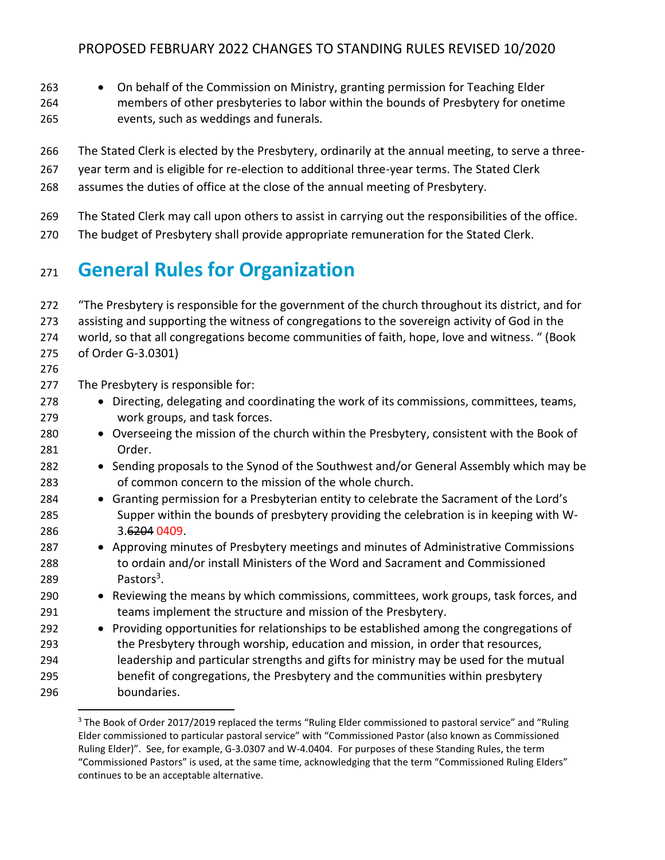- 263 On behalf of the Commission on Ministry, granting permission for Teaching Elder
- members of other presbyteries to labor within the bounds of Presbytery for onetime events, such as weddings and funerals.
- The Stated Clerk is elected by the Presbytery, ordinarily at the annual meeting, to serve a three-
- year term and is eligible for re-election to additional three-year terms. The Stated Clerk
- assumes the duties of office at the close of the annual meeting of Presbytery.
- The Stated Clerk may call upon others to assist in carrying out the responsibilities of the office.
- The budget of Presbytery shall provide appropriate remuneration for the Stated Clerk.

# **General Rules for Organization**

| 272 | "The Presbytery is responsible for the government of the church throughout its district, and for |  |  |  |
|-----|--------------------------------------------------------------------------------------------------|--|--|--|
| 273 | assisting and supporting the witness of congregations to the sovereign activity of God in the    |  |  |  |
| 274 | world, so that all congregations become communities of faith, hope, love and witness. " (Book    |  |  |  |
| 275 | of Order G-3.0301)                                                                               |  |  |  |
| 276 |                                                                                                  |  |  |  |
| 277 | The Presbytery is responsible for:                                                               |  |  |  |
| 278 | • Directing, delegating and coordinating the work of its commissions, committees, teams,         |  |  |  |
| 279 | work groups, and task forces.                                                                    |  |  |  |
| 280 | • Overseeing the mission of the church within the Presbytery, consistent with the Book of        |  |  |  |
| 281 | Order.                                                                                           |  |  |  |
| 282 | • Sending proposals to the Synod of the Southwest and/or General Assembly which may be           |  |  |  |
| 283 | of common concern to the mission of the whole church.                                            |  |  |  |
| 284 | • Granting permission for a Presbyterian entity to celebrate the Sacrament of the Lord's         |  |  |  |
| 285 | Supper within the bounds of presbytery providing the celebration is in keeping with W-           |  |  |  |
| 286 | 3.6204 0409.                                                                                     |  |  |  |
| 287 | • Approving minutes of Presbytery meetings and minutes of Administrative Commissions             |  |  |  |
| 288 | to ordain and/or install Ministers of the Word and Sacrament and Commissioned                    |  |  |  |
| 289 | Pastors <sup>3</sup> .                                                                           |  |  |  |
| 290 | • Reviewing the means by which commissions, committees, work groups, task forces, and            |  |  |  |
| 291 | teams implement the structure and mission of the Presbytery.                                     |  |  |  |
| 292 | • Providing opportunities for relationships to be established among the congregations of         |  |  |  |
| 293 | the Presbytery through worship, education and mission, in order that resources,                  |  |  |  |
| 294 | leadership and particular strengths and gifts for ministry may be used for the mutual            |  |  |  |
| 295 | benefit of congregations, the Presbytery and the communities within presbytery                   |  |  |  |
| 296 | boundaries.                                                                                      |  |  |  |

<sup>&</sup>lt;sup>3</sup> The Book of Order 2017/2019 replaced the terms "Ruling Elder commissioned to pastoral service" and "Ruling Elder commissioned to particular pastoral service" with "Commissioned Pastor (also known as Commissioned Ruling Elder)". See, for example, G-3.0307 and W-4.0404. For purposes of these Standing Rules, the term "Commissioned Pastors" is used, at the same time, acknowledging that the term "Commissioned Ruling Elders" continues to be an acceptable alternative.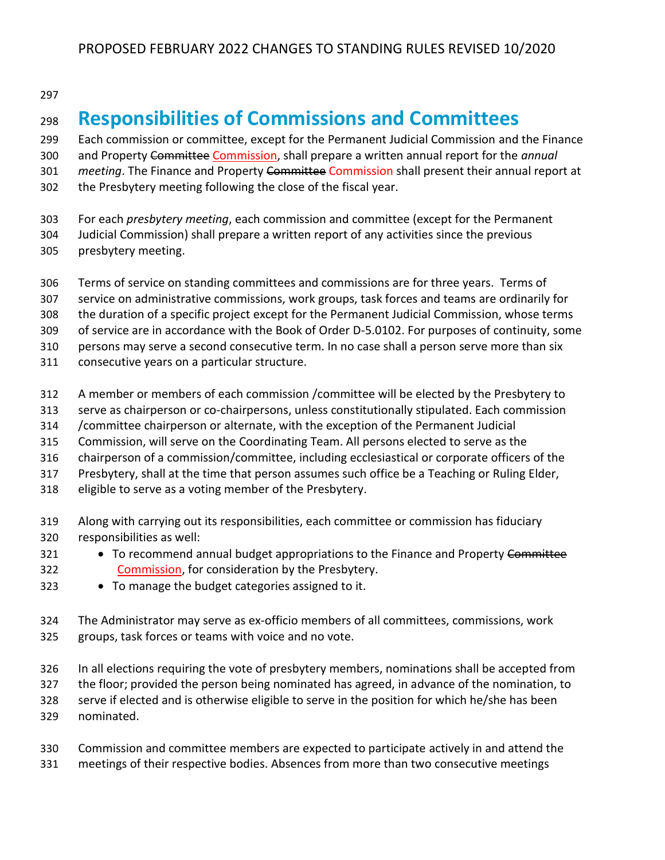# **Responsibilities of Commissions and Committees**

 Each commission or committee, except for the Permanent Judicial Commission and the Finance and Property Committee Commission, shall prepare a written annual report for the *annual meeting*. The Finance and Property Committee Commission shall present their annual report at the Presbytery meeting following the close of the fiscal year.

- For each *presbytery meeting*, each commission and committee (except for the Permanent Judicial Commission) shall prepare a written report of any activities since the previous presbytery meeting.
- Terms of service on standing committees and commissions are for three years. Terms of
- service on administrative commissions, work groups, task forces and teams are ordinarily for
- the duration of a specific project except for the Permanent Judicial Commission, whose terms
- of service are in accordance with the Book of Order D-5.0102. For purposes of continuity, some
- persons may serve a second consecutive term. In no case shall a person serve more than six
- consecutive years on a particular structure.
- A member or members of each commission /committee will be elected by the Presbytery to
- serve as chairperson or co-chairpersons, unless constitutionally stipulated. Each commission
- /committee chairperson or alternate, with the exception of the Permanent Judicial
- Commission, will serve on the Coordinating Team. All persons elected to serve as the
- chairperson of a commission/committee, including ecclesiastical or corporate officers of the
- Presbytery, shall at the time that person assumes such office be a Teaching or Ruling Elder,
- eligible to serve as a voting member of the Presbytery.
- Along with carrying out its responsibilities, each committee or commission has fiduciary responsibilities as well:
- 321 To recommend annual budget appropriations to the Finance and Property Committee 322 Commission, for consideration by the Presbytery.
- To manage the budget categories assigned to it.
- The Administrator may serve as ex-officio members of all committees, commissions, work groups, task forces or teams with voice and no vote.
- In all elections requiring the vote of presbytery members, nominations shall be accepted from the floor; provided the person being nominated has agreed, in advance of the nomination, to serve if elected and is otherwise eligible to serve in the position for which he/she has been nominated.
- Commission and committee members are expected to participate actively in and attend the meetings of their respective bodies. Absences from more than two consecutive meetings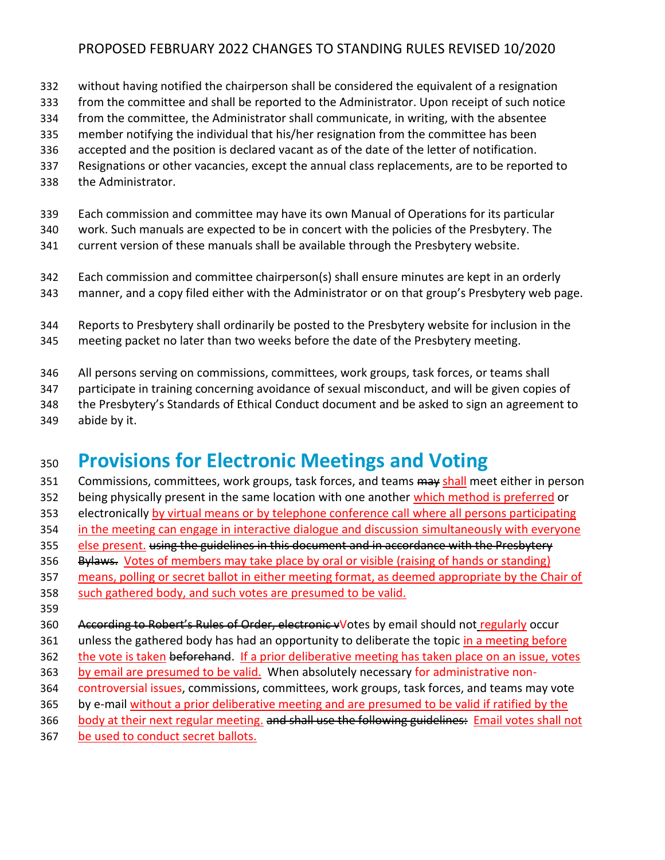- without having notified the chairperson shall be considered the equivalent of a resignation
- from the committee and shall be reported to the Administrator. Upon receipt of such notice
- from the committee, the Administrator shall communicate, in writing, with the absentee
- member notifying the individual that his/her resignation from the committee has been
- accepted and the position is declared vacant as of the date of the letter of notification.
- Resignations or other vacancies, except the annual class replacements, are to be reported to
- the Administrator.
- Each commission and committee may have its own Manual of Operations for its particular
- work. Such manuals are expected to be in concert with the policies of the Presbytery. The
- current version of these manuals shall be available through the Presbytery website.
- Each commission and committee chairperson(s) shall ensure minutes are kept in an orderly
- manner, and a copy filed either with the Administrator or on that group's Presbytery web page.
- Reports to Presbytery shall ordinarily be posted to the Presbytery website for inclusion in the meeting packet no later than two weeks before the date of the Presbytery meeting.
- All persons serving on commissions, committees, work groups, task forces, or teams shall
- participate in training concerning avoidance of sexual misconduct, and will be given copies of
- the Presbytery's Standards of Ethical Conduct document and be asked to sign an agreement to
- abide by it.

# **Provisions for Electronic Meetings and Voting**

- 351 Commissions, committees, work groups, task forces, and teams may shall meet either in person
- 352 being physically present in the same location with one another which method is preferred or
- 353 electronically by virtual means or by telephone conference call where all persons participating
- in the meeting can engage in interactive dialogue and discussion simultaneously with everyone
- else present. using the guidelines in this document and in accordance with the Presbytery
- 356 Bylaws. Votes of members may take place by oral or visible (raising of hands or standing) means, polling or secret ballot in either meeting format, as deemed appropriate by the Chair of
- such gathered body, and such votes are presumed to be valid.
- 
- 360 According to Robert's Rules of Order, electronic vVotes by email should not regularly occur
- 361 unless the gathered body has had an opportunity to deliberate the topic in a meeting before
- 362 the vote is taken beforehand. If a prior deliberative meeting has taken place on an issue, votes
- by email are presumed to be valid. When absolutely necessary for administrative non-
- 364 controversial issues, commissions, committees, work groups, task forces, and teams may vote
- by e-mail without a prior deliberative meeting and are presumed to be valid if ratified by the
- 366 body at their next regular meeting. and shall use the following guidelines: Email votes shall not
- be used to conduct secret ballots.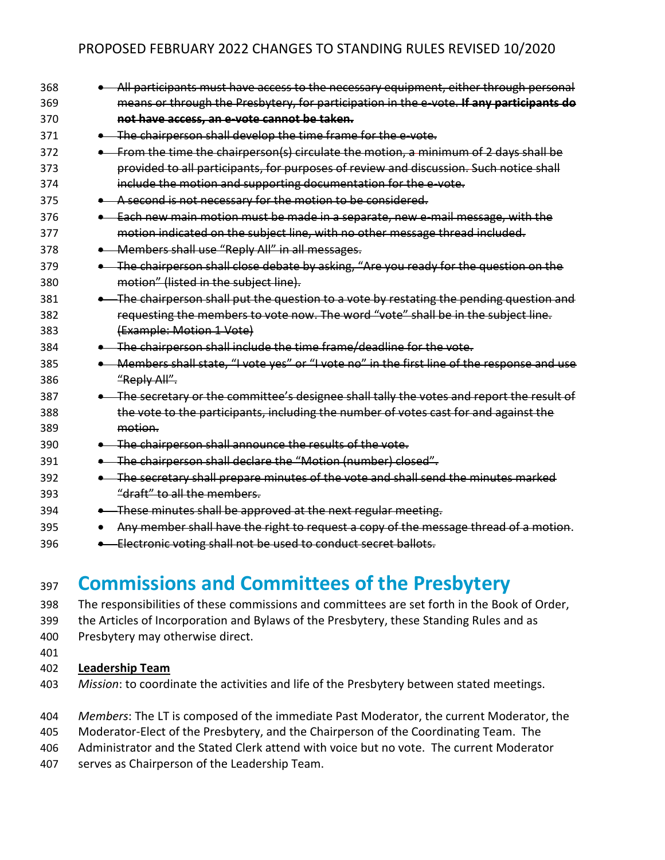| 368 |                                       | All participants must have access to the necessary equipment, either through personal      |
|-----|---------------------------------------|--------------------------------------------------------------------------------------------|
| 369 |                                       | means or through the Presbytery, for participation in the e-vote. If any participants do   |
| 370 |                                       | not have access, an e-vote cannot be taken.                                                |
| 371 |                                       | . The chairperson shall develop the time frame for the e-vote.                             |
| 372 |                                       | From the time the chairperson(s) circulate the motion, a minimum of 2 days shall be        |
| 373 |                                       | provided to all participants, for purposes of review and discussion. Such notice shall     |
| 374 |                                       | include the motion and supporting documentation for the e-vote.                            |
| 375 | $\bullet$                             | A second is not necessary for the motion to be considered.                                 |
| 376 | $\bullet$                             | Each new main motion must be made in a separate, new e-mail message, with the              |
| 377 |                                       | motion indicated on the subject line, with no other message thread included.               |
| 378 |                                       | Members shall use "Reply All" in all messages.                                             |
| 379 |                                       | . The chairperson shall close debate by asking, "Are you ready for the question on the     |
| 380 | motion" (listed in the subject line). |                                                                                            |
| 381 |                                       | . The chairperson shall put the question to a vote by restating the pending question and   |
| 382 |                                       | requesting the members to vote now. The word "vote" shall be in the subject line.          |
| 383 | (Example: Motion 1 Vote)              |                                                                                            |
| 384 |                                       | . The chairperson shall include the time frame/deadline for the vote.                      |
| 385 |                                       | Members shall state, "I vote yes" or "I vote no" in the first line of the response and use |
| 386 | "Reply All".                          |                                                                                            |
| 387 |                                       | . The secretary or the committee's designee shall tally the votes and report the result of |
| 388 |                                       | the vote to the participants, including the number of votes cast for and against the       |
| 389 | motion.                               |                                                                                            |
| 390 |                                       | . The chairperson shall announce the results of the vote.                                  |
| 391 |                                       | • The chairperson shall declare the "Motion (number) closed".                              |
| 392 |                                       | . The secretary shall prepare minutes of the vote and shall send the minutes marked        |
| 393 | "draft" to all the members.           |                                                                                            |
| 394 | $\bullet$                             | These minutes shall be approved at the next regular meeting.                               |
| 395 |                                       | Any member shall have the right to request a copy of the message thread of a motion.       |
| 396 | $\bullet$                             | Electronic voting shall not be used to conduct secret ballots.                             |

## <sup>397</sup> **Commissions and Committees of the Presbytery**

- 398 The responsibilities of these commissions and committees are set forth in the Book of Order,
- 399 the Articles of Incorporation and Bylaws of the Presbytery, these Standing Rules and as
- 400 Presbytery may otherwise direct.
- 401

#### 402 **Leadership Team**

- 403 *Mission*: to coordinate the activities and life of the Presbytery between stated meetings.
- 404 *Members*: The LT is composed of the immediate Past Moderator, the current Moderator, the
- 405 Moderator-Elect of the Presbytery, and the Chairperson of the Coordinating Team. The
- 406 Administrator and the Stated Clerk attend with voice but no vote. The current Moderator
- 407 serves as Chairperson of the Leadership Team.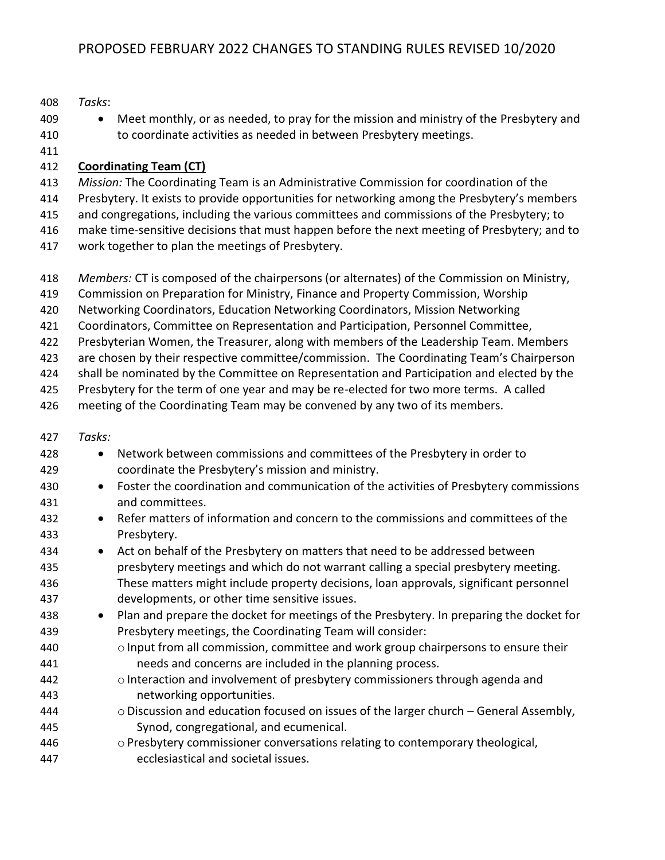- *Tasks*:
- to coordinate activities as needed in between Presbytery meetings.
- 
- 

### **Coordinating Team (CT)**

- *Mission:* The Coordinating Team is an Administrative Commission for coordination of the
- Presbytery. It exists to provide opportunities for networking among the Presbytery's members

409 • Meet monthly, or as needed, to pray for the mission and ministry of the Presbytery and

- and congregations, including the various committees and commissions of the Presbytery; to
- make time-sensitive decisions that must happen before the next meeting of Presbytery; and to
- work together to plan the meetings of Presbytery.
- *Members:* CT is composed of the chairpersons (or alternates) of the Commission on Ministry,
- Commission on Preparation for Ministry, Finance and Property Commission, Worship
- Networking Coordinators, Education Networking Coordinators, Mission Networking
- Coordinators, Committee on Representation and Participation, Personnel Committee,
- Presbyterian Women, the Treasurer, along with members of the Leadership Team. Members
- 423 are chosen by their respective committee/commission. The Coordinating Team's Chairperson
- shall be nominated by the Committee on Representation and Participation and elected by the
- Presbytery for the term of one year and may be re-elected for two more terms. A called
- meeting of the Coordinating Team may be convened by any two of its members.
- *Tasks:*

| 428 | $\bullet$ | Network between commissions and committees of the Presbytery in order to                    |
|-----|-----------|---------------------------------------------------------------------------------------------|
| 429 |           | coordinate the Presbytery's mission and ministry.                                           |
| 430 |           | • Foster the coordination and communication of the activities of Presbytery commissions     |
| 431 |           | and committees.                                                                             |
| 432 | $\bullet$ | Refer matters of information and concern to the commissions and committees of the           |
| 433 |           | Presbytery.                                                                                 |
| 434 | $\bullet$ | Act on behalf of the Presbytery on matters that need to be addressed between                |
| 435 |           | presbytery meetings and which do not warrant calling a special presbytery meeting.          |
| 436 |           | These matters might include property decisions, loan approvals, significant personnel       |
| 437 |           | developments, or other time sensitive issues.                                               |
| 438 | $\bullet$ | Plan and prepare the docket for meetings of the Presbytery. In preparing the docket for     |
| 439 |           | Presbytery meetings, the Coordinating Team will consider:                                   |
| 440 |           | $\circ$ Input from all commission, committee and work group chairpersons to ensure their    |
| 441 |           | needs and concerns are included in the planning process.                                    |
| 442 |           | o Interaction and involvement of presbytery commissioners through agenda and                |
| 443 |           | networking opportunities.                                                                   |
| 444 |           | $\circ$ Discussion and education focused on issues of the larger church – General Assembly, |
| 445 |           | Synod, congregational, and ecumenical.                                                      |
| 446 |           | $\circ$ Presbytery commissioner conversations relating to contemporary theological,         |
| 447 |           | ecclesiastical and societal issues.                                                         |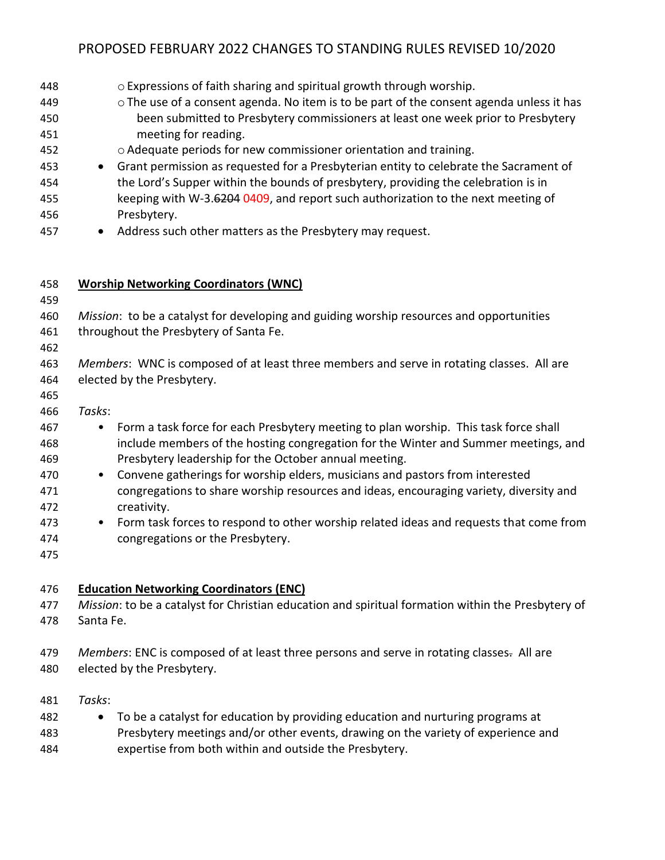| 448<br>449<br>450<br>451<br>452<br>453<br>454<br>455<br>456<br>457 | o Expressions of faith sharing and spiritual growth through worship.<br>$\circ$ The use of a consent agenda. No item is to be part of the consent agenda unless it has<br>been submitted to Presbytery commissioners at least one week prior to Presbytery<br>meeting for reading.<br>o Adequate periods for new commissioner orientation and training.<br>Grant permission as requested for a Presbyterian entity to celebrate the Sacrament of<br>$\bullet$<br>the Lord's Supper within the bounds of presbytery, providing the celebration is in<br>keeping with W-3.6204 0409, and report such authorization to the next meeting of<br>Presbytery.<br>Address such other matters as the Presbytery may request. |
|--------------------------------------------------------------------|---------------------------------------------------------------------------------------------------------------------------------------------------------------------------------------------------------------------------------------------------------------------------------------------------------------------------------------------------------------------------------------------------------------------------------------------------------------------------------------------------------------------------------------------------------------------------------------------------------------------------------------------------------------------------------------------------------------------|
| 458                                                                | <b>Worship Networking Coordinators (WNC)</b>                                                                                                                                                                                                                                                                                                                                                                                                                                                                                                                                                                                                                                                                        |
| 459                                                                |                                                                                                                                                                                                                                                                                                                                                                                                                                                                                                                                                                                                                                                                                                                     |
| 460                                                                | Mission: to be a catalyst for developing and guiding worship resources and opportunities                                                                                                                                                                                                                                                                                                                                                                                                                                                                                                                                                                                                                            |
| 461                                                                | throughout the Presbytery of Santa Fe.                                                                                                                                                                                                                                                                                                                                                                                                                                                                                                                                                                                                                                                                              |
| 462                                                                |                                                                                                                                                                                                                                                                                                                                                                                                                                                                                                                                                                                                                                                                                                                     |
| 463                                                                | Members: WNC is composed of at least three members and serve in rotating classes. All are                                                                                                                                                                                                                                                                                                                                                                                                                                                                                                                                                                                                                           |
| 464                                                                | elected by the Presbytery.                                                                                                                                                                                                                                                                                                                                                                                                                                                                                                                                                                                                                                                                                          |
| 465                                                                |                                                                                                                                                                                                                                                                                                                                                                                                                                                                                                                                                                                                                                                                                                                     |
| 466<br>467                                                         | Tasks:<br>Form a task force for each Presbytery meeting to plan worship. This task force shall                                                                                                                                                                                                                                                                                                                                                                                                                                                                                                                                                                                                                      |
| 468                                                                | ٠<br>include members of the hosting congregation for the Winter and Summer meetings, and                                                                                                                                                                                                                                                                                                                                                                                                                                                                                                                                                                                                                            |
| 469                                                                | Presbytery leadership for the October annual meeting.                                                                                                                                                                                                                                                                                                                                                                                                                                                                                                                                                                                                                                                               |
| 470                                                                | Convene gatherings for worship elders, musicians and pastors from interested<br>$\bullet$                                                                                                                                                                                                                                                                                                                                                                                                                                                                                                                                                                                                                           |
| 471                                                                | congregations to share worship resources and ideas, encouraging variety, diversity and                                                                                                                                                                                                                                                                                                                                                                                                                                                                                                                                                                                                                              |
| 472                                                                | creativity.                                                                                                                                                                                                                                                                                                                                                                                                                                                                                                                                                                                                                                                                                                         |
| 473                                                                | Form task forces to respond to other worship related ideas and requests that come from                                                                                                                                                                                                                                                                                                                                                                                                                                                                                                                                                                                                                              |
| 474                                                                | congregations or the Presbytery.                                                                                                                                                                                                                                                                                                                                                                                                                                                                                                                                                                                                                                                                                    |
| 475                                                                |                                                                                                                                                                                                                                                                                                                                                                                                                                                                                                                                                                                                                                                                                                                     |
| 476                                                                | <b>Education Networking Coordinators (ENC)</b>                                                                                                                                                                                                                                                                                                                                                                                                                                                                                                                                                                                                                                                                      |
| 477                                                                | Mission: to be a catalyst for Christian education and spiritual formation within the Presbytery of                                                                                                                                                                                                                                                                                                                                                                                                                                                                                                                                                                                                                  |
| 478                                                                | Santa Fe.                                                                                                                                                                                                                                                                                                                                                                                                                                                                                                                                                                                                                                                                                                           |
| 479                                                                | Members: ENC is composed of at least three persons and serve in rotating classes. All are                                                                                                                                                                                                                                                                                                                                                                                                                                                                                                                                                                                                                           |

- elected by the Presbytery.
- *Tasks*:
- To be a catalyst for education by providing education and nurturing programs at Presbytery meetings and/or other events, drawing on the variety of experience and
- expertise from both within and outside the Presbytery.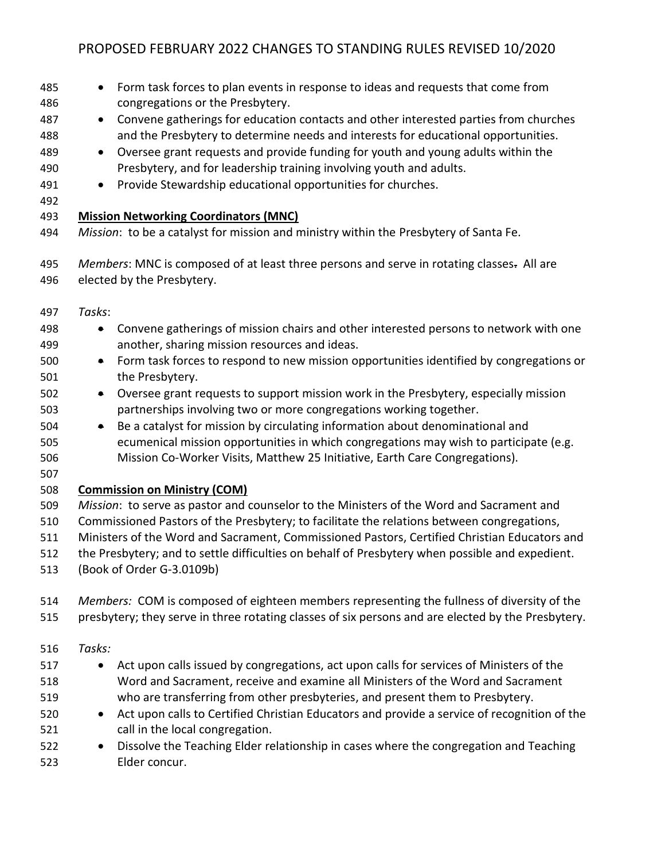• Form task forces to plan events in response to ideas and requests that come from congregations or the Presbytery. • Convene gatherings for education contacts and other interested parties from churches and the Presbytery to determine needs and interests for educational opportunities. • Oversee grant requests and provide funding for youth and young adults within the Presbytery, and for leadership training involving youth and adults. 491 • Provide Stewardship educational opportunities for churches. **Mission Networking Coordinators (MNC)** *Mission*: to be a catalyst for mission and ministry within the Presbytery of Santa Fe. *Members*: MNC is composed of at least three persons and serve in rotating classes. All are elected by the Presbytery. *Tasks*: • Convene gatherings of mission chairs and other interested persons to network with one another, sharing mission resources and ideas. • Form task forces to respond to new mission opportunities identified by congregations or the Presbytery. • Oversee grant requests to support mission work in the Presbytery, especially mission partnerships involving two or more congregations working together. • Be a catalyst for mission by circulating information about denominational and ecumenical mission opportunities in which congregations may wish to participate (e.g. Mission Co-Worker Visits, Matthew 25 Initiative, Earth Care Congregations). **Commission on Ministry (COM)** *Mission*: to serve as pastor and counselor to the Ministers of the Word and Sacrament and Commissioned Pastors of the Presbytery; to facilitate the relations between congregations, Ministers of the Word and Sacrament, Commissioned Pastors, Certified Christian Educators and the Presbytery; and to settle difficulties on behalf of Presbytery when possible and expedient. (Book of Order G-3.0109b) *Members:* COM is composed of eighteen members representing the fullness of diversity of the presbytery; they serve in three rotating classes of six persons and are elected by the Presbytery. *Tasks:*  • Act upon calls issued by congregations, act upon calls for services of Ministers of the Word and Sacrament, receive and examine all Ministers of the Word and Sacrament who are transferring from other presbyteries, and present them to Presbytery. • Act upon calls to Certified Christian Educators and provide a service of recognition of the call in the local congregation. • Dissolve the Teaching Elder relationship in cases where the congregation and Teaching Elder concur.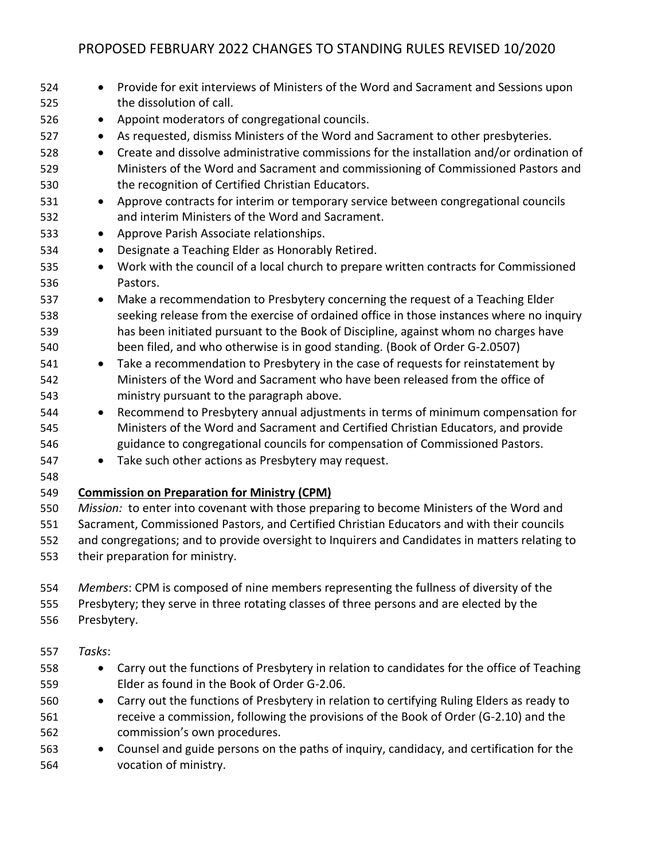| 524 | Provide for exit interviews of Ministers of the Word and Sacrament and Sessions upon               |
|-----|----------------------------------------------------------------------------------------------------|
| 525 | the dissolution of call.                                                                           |
| 526 | Appoint moderators of congregational councils.                                                     |
| 527 | As requested, dismiss Ministers of the Word and Sacrament to other presbyteries.                   |
| 528 | Create and dissolve administrative commissions for the installation and/or ordination of<br>٠      |
| 529 | Ministers of the Word and Sacrament and commissioning of Commissioned Pastors and                  |
| 530 | the recognition of Certified Christian Educators.                                                  |
| 531 | Approve contracts for interim or temporary service between congregational councils<br>$\bullet$    |
| 532 | and interim Ministers of the Word and Sacrament.                                                   |
| 533 | Approve Parish Associate relationships.<br>$\bullet$                                               |
| 534 | Designate a Teaching Elder as Honorably Retired.<br>$\bullet$                                      |
| 535 | Work with the council of a local church to prepare written contracts for Commissioned<br>$\bullet$ |
| 536 | Pastors.                                                                                           |
| 537 | Make a recommendation to Presbytery concerning the request of a Teaching Elder<br>$\bullet$        |
| 538 | seeking release from the exercise of ordained office in those instances where no inquiry           |
| 539 | has been initiated pursuant to the Book of Discipline, against whom no charges have                |
| 540 | been filed, and who otherwise is in good standing. (Book of Order G-2.0507)                        |
| 541 | Take a recommendation to Presbytery in the case of requests for reinstatement by<br>$\bullet$      |
| 542 | Ministers of the Word and Sacrament who have been released from the office of                      |
| 543 | ministry pursuant to the paragraph above.                                                          |
| 544 | Recommend to Presbytery annual adjustments in terms of minimum compensation for<br>$\bullet$       |
| 545 | Ministers of the Word and Sacrament and Certified Christian Educators, and provide                 |
| 546 | guidance to congregational councils for compensation of Commissioned Pastors.                      |
| 547 | Take such other actions as Presbytery may request.<br>$\bullet$                                    |
| 548 |                                                                                                    |
| 549 | <b>Commission on Preparation for Ministry (CPM)</b>                                                |
| 550 | Mission: to enter into covenant with those preparing to become Ministers of the Word and           |
| 551 | Sacrament, Commissioned Pastors, and Certified Christian Educators and with their councils         |
| 552 | and congregations; and to provide oversight to Inquirers and Candidates in matters relating to     |
| 553 | their preparation for ministry.                                                                    |
| 554 | Members: CPM is composed of nine members representing the fullness of diversity of the             |
| 555 | Presbytery; they serve in three rotating classes of three persons and are elected by the           |
| 556 | Presbytery.                                                                                        |
|     |                                                                                                    |

- *Tasks*:
- Carry out the functions of Presbytery in relation to candidates for the office of Teaching Elder as found in the Book of Order G-2.06.
- Carry out the functions of Presbytery in relation to certifying Ruling Elders as ready to receive a commission, following the provisions of the Book of Order (G-2.10) and the commission's own procedures.
- Counsel and guide persons on the paths of inquiry, candidacy, and certification for the vocation of ministry.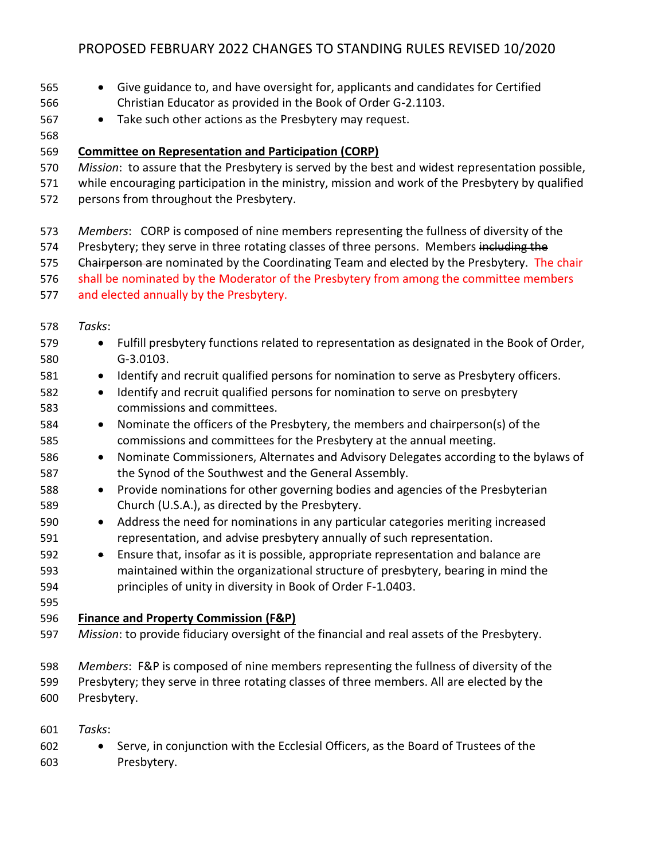- Give guidance to, and have oversight for, applicants and candidates for Certified Christian Educator as provided in the Book of Order G-2.1103.
- Take such other actions as the Presbytery may request.
- 
- **Committee on Representation and Participation (CORP)**
- *Mission*: to assure that the Presbytery is served by the best and widest representation possible,
- while encouraging participation in the ministry, mission and work of the Presbytery by qualified persons from throughout the Presbytery.
- *Members*: CORP is composed of nine members representing the fullness of diversity of the
- 574 Presbytery; they serve in three rotating classes of three persons. Members including the
- 575 Ehairperson-are nominated by the Coordinating Team and elected by the Presbytery. The chair
- shall be nominated by the Moderator of the Presbytery from among the committee members
- and elected annually by the Presbytery.
- *Tasks*:
- Fulfill presbytery functions related to representation as designated in the Book of Order, G-3.0103. 581 • Identify and recruit qualified persons for nomination to serve as Presbytery officers. • Identify and recruit qualified persons for nomination to serve on presbytery commissions and committees. • Nominate the officers of the Presbytery, the members and chairperson(s) of the commissions and committees for the Presbytery at the annual meeting. • Nominate Commissioners, Alternates and Advisory Delegates according to the bylaws of the Synod of the Southwest and the General Assembly. • Provide nominations for other governing bodies and agencies of the Presbyterian Church (U.S.A.), as directed by the Presbytery. • Address the need for nominations in any particular categories meriting increased representation, and advise presbytery annually of such representation. • Ensure that, insofar as it is possible, appropriate representation and balance are maintained within the organizational structure of presbytery, bearing in mind the principles of unity in diversity in Book of Order F-1.0403. **Finance and Property Commission (F&P)** *Mission*: to provide fiduciary oversight of the financial and real assets of the Presbytery. *Members*: F&P is composed of nine members representing the fullness of diversity of the Presbytery; they serve in three rotating classes of three members. All are elected by the Presbytery. *Tasks*:
	- Serve, in conjunction with the Ecclesial Officers, as the Board of Trustees of the Presbytery.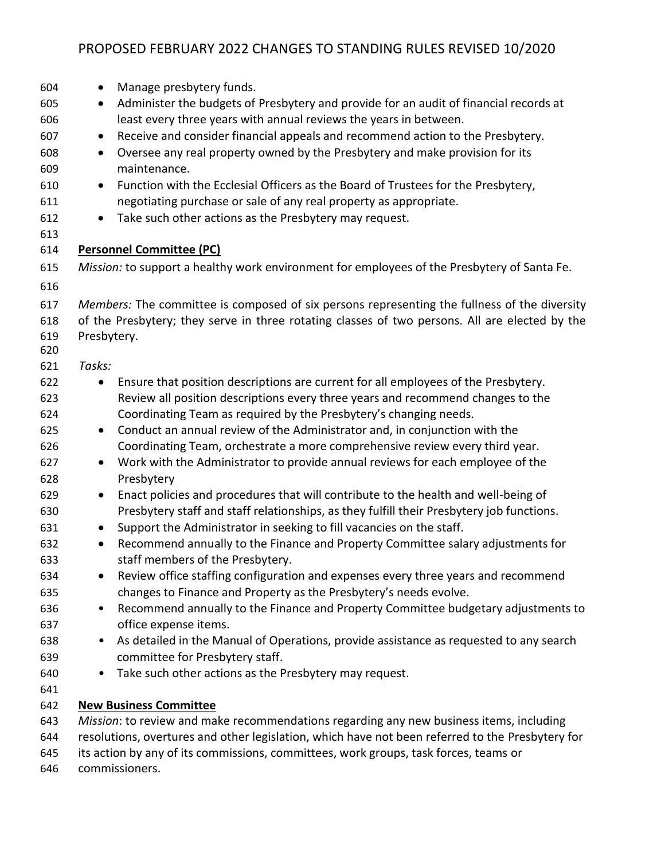| 604        | Manage presbytery funds.<br>$\bullet$                                                                                            |
|------------|----------------------------------------------------------------------------------------------------------------------------------|
| 605        | Administer the budgets of Presbytery and provide for an audit of financial records at<br>$\bullet$                               |
| 606        | least every three years with annual reviews the years in between.                                                                |
| 607        | Receive and consider financial appeals and recommend action to the Presbytery.<br>$\bullet$                                      |
| 608        | Oversee any real property owned by the Presbytery and make provision for its<br>$\bullet$                                        |
| 609        | maintenance.                                                                                                                     |
| 610        | Function with the Ecclesial Officers as the Board of Trustees for the Presbytery,<br>$\bullet$                                   |
| 611        | negotiating purchase or sale of any real property as appropriate.                                                                |
| 612        | Take such other actions as the Presbytery may request.<br>$\bullet$                                                              |
| 613        |                                                                                                                                  |
| 614        | <b>Personnel Committee (PC)</b>                                                                                                  |
| 615        | Mission: to support a healthy work environment for employees of the Presbytery of Santa Fe.                                      |
| 616        |                                                                                                                                  |
| 617        | Members: The committee is composed of six persons representing the fullness of the diversity                                     |
| 618        | of the Presbytery; they serve in three rotating classes of two persons. All are elected by the                                   |
| 619<br>620 | Presbytery.                                                                                                                      |
| 621        | Tasks:                                                                                                                           |
| 622        | Ensure that position descriptions are current for all employees of the Presbytery.<br>$\bullet$                                  |
| 623        | Review all position descriptions every three years and recommend changes to the                                                  |
| 624        | Coordinating Team as required by the Presbytery's changing needs.                                                                |
| 625        | Conduct an annual review of the Administrator and, in conjunction with the<br>$\bullet$                                          |
| 626        | Coordinating Team, orchestrate a more comprehensive review every third year.                                                     |
| 627        | Work with the Administrator to provide annual reviews for each employee of the<br>$\bullet$                                      |
| 628        | Presbytery                                                                                                                       |
| 629        | Enact policies and procedures that will contribute to the health and well-being of<br>$\bullet$                                  |
| 630        | Presbytery staff and staff relationships, as they fulfill their Presbytery job functions.                                        |
| 631        | Support the Administrator in seeking to fill vacancies on the staff.<br>$\bullet$                                                |
| 632<br>633 | Recommend annually to the Finance and Property Committee salary adjustments for<br>$\bullet$<br>staff members of the Presbytery. |
| 634        | Review office staffing configuration and expenses every three years and recommend                                                |
| 635        | changes to Finance and Property as the Presbytery's needs evolve.                                                                |
| 636        | Recommend annually to the Finance and Property Committee budgetary adjustments to<br>$\bullet$                                   |
| 637        | office expense items.                                                                                                            |
| 638        | As detailed in the Manual of Operations, provide assistance as requested to any search<br>$\bullet$                              |
| 639        | committee for Presbytery staff.                                                                                                  |
| 640        | Take such other actions as the Presbytery may request.<br>$\bullet$                                                              |
| 641        |                                                                                                                                  |
| 642        | <b>New Business Committee</b>                                                                                                    |
| 643        | Mission: to review and make recommendations regarding any new business items, including                                          |
| 644        | resolutions, overtures and other legislation, which have not been referred to the Presbytery for                                 |
| 645        | its action by any of its commissions, committees, work groups, task forces, teams or                                             |

commissioners.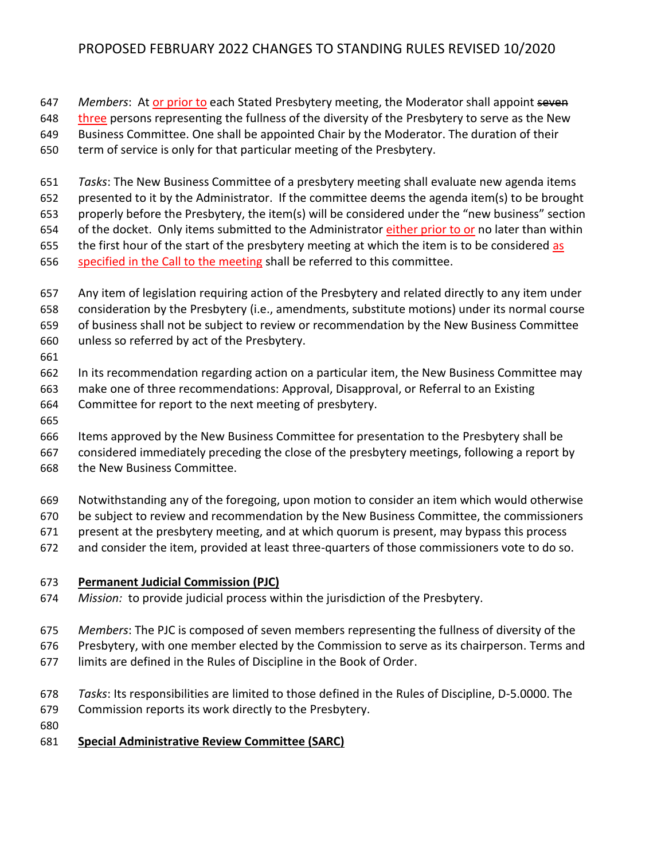*Members*: At or prior to each Stated Presbytery meeting, the Moderator shall appoint seven

648 three persons representing the fullness of the diversity of the Presbytery to serve as the New

Business Committee. One shall be appointed Chair by the Moderator. The duration of their

term of service is only for that particular meeting of the Presbytery.

 *Tasks*: The New Business Committee of a presbytery meeting shall evaluate new agenda items presented to it by the Administrator. If the committee deems the agenda item(s) to be brought

properly before the Presbytery, the item(s) will be considered under the "new business" section

of the docket.Only items submitted to the Administrator either prior to or no later than within

655 the first hour of the start of the presbytery meeting at which the item is to be considered as

- 656 specified in the Call to the meeting shall be referred to this committee.
- Any item of legislation requiring action of the Presbytery and related directly to any item under consideration by the Presbytery (i.e., amendments, substitute motions) under its normal course of business shall not be subject to review or recommendation by the New Business Committee
- unless so referred by act of the Presbytery.
- 

In its recommendation regarding action on a particular item, the New Business Committee may

- make one of three recommendations: Approval, Disapproval, or Referral to an Existing
- Committee for report to the next meeting of presbytery.
- 

Items approved by the New Business Committee for presentation to the Presbytery shall be

 considered immediately preceding the close of the presbytery meetings, following a report by the New Business Committee.

- Notwithstanding any of the foregoing, upon motion to consider an item which would otherwise
- be subject to review and recommendation by the New Business Committee, the commissioners
- present at the presbytery meeting, and at which quorum is present, may bypass this process
- and consider the item, provided at least three-quarters of those commissioners vote to do so.

### **Permanent Judicial Commission (PJC)**

*Mission:* to provide judicial process within the jurisdiction of the Presbytery.

*Members*: The PJC is composed of seven members representing the fullness of diversity of the

Presbytery, with one member elected by the Commission to serve as its chairperson. Terms and

- limits are defined in the Rules of Discipline in the Book of Order.
- *Tasks*: Its responsibilities are limited to those defined in the Rules of Discipline, D-5.0000. The
- Commission reports its work directly to the Presbytery.
- 

### **Special Administrative Review Committee (SARC)**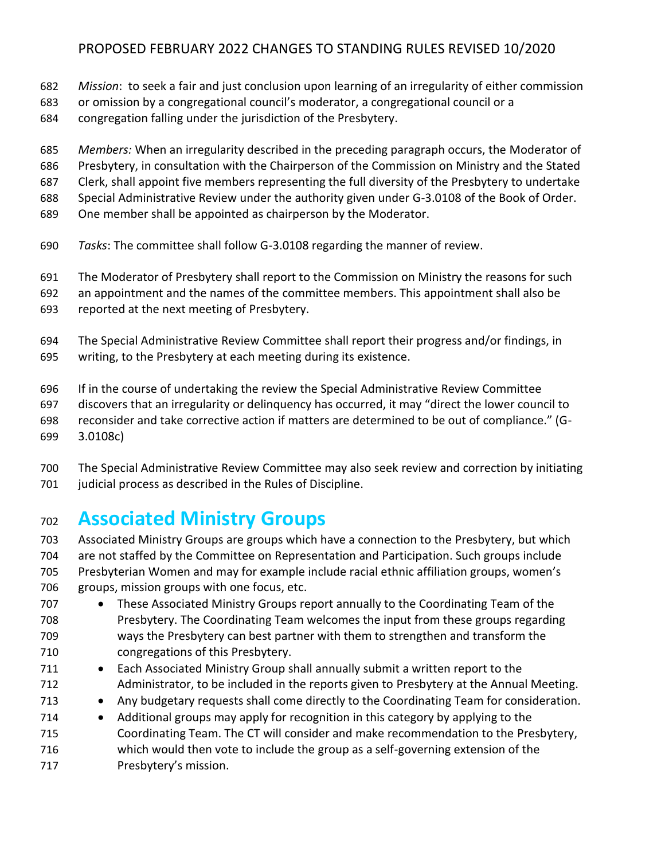- *Mission*: to seek a fair and just conclusion upon learning of an irregularity of either commission
- or omission by a congregational council's moderator, a congregational council or a
- congregation falling under the jurisdiction of the Presbytery.
- *Members:* When an irregularity described in the preceding paragraph occurs, the Moderator of
- Presbytery, in consultation with the Chairperson of the Commission on Ministry and the Stated
- Clerk, shall appoint five members representing the full diversity of the Presbytery to undertake
- Special Administrative Review under the authority given under G-3.0108 of the Book of Order.
- One member shall be appointed as chairperson by the Moderator.
- *Tasks*: The committee shall follow G-3.0108 regarding the manner of review.
- The Moderator of Presbytery shall report to the Commission on Ministry the reasons for such
- an appointment and the names of the committee members. This appointment shall also be
- reported at the next meeting of Presbytery.
- The Special Administrative Review Committee shall report their progress and/or findings, in writing, to the Presbytery at each meeting during its existence.
- If in the course of undertaking the review the Special Administrative Review Committee
- discovers that an irregularity or delinquency has occurred, it may "direct the lower council to
- reconsider and take corrective action if matters are determined to be out of compliance." (G-
- 3.0108c)
- The Special Administrative Review Committee may also seek review and correction by initiating 701 judicial process as described in the Rules of Discipline.

## **Associated Ministry Groups**

- Associated Ministry Groups are groups which have a connection to the Presbytery, but which are not staffed by the Committee on Representation and Participation. Such groups include Presbyterian Women and may for example include racial ethnic affiliation groups, women's groups, mission groups with one focus, etc.
- These Associated Ministry Groups report annually to the Coordinating Team of the Presbytery. The Coordinating Team welcomes the input from these groups regarding ways the Presbytery can best partner with them to strengthen and transform the congregations of this Presbytery.
- 711 Each Associated Ministry Group shall annually submit a written report to the Administrator, to be included in the reports given to Presbytery at the Annual Meeting.
- Any budgetary requests shall come directly to the Coordinating Team for consideration.
- Additional groups may apply for recognition in this category by applying to the Coordinating Team. The CT will consider and make recommendation to the Presbytery, which would then vote to include the group as a self-governing extension of the Presbytery's mission.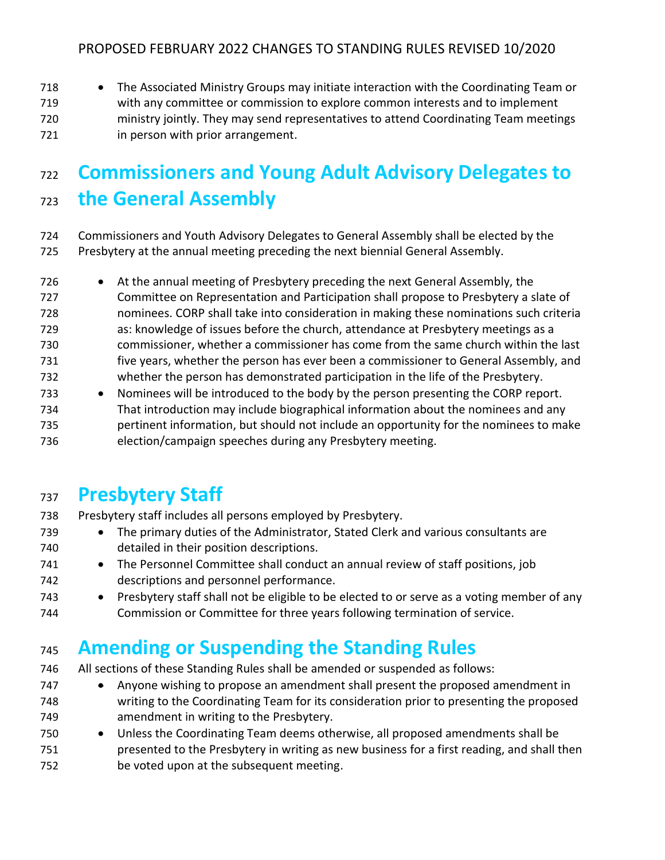718 • The Associated Ministry Groups may initiate interaction with the Coordinating Team or with any committee or commission to explore common interests and to implement ministry jointly. They may send representatives to attend Coordinating Team meetings **in person with prior arrangement.** 

# **Commissioners and Young Adult Advisory Delegates to the General Assembly**

- Commissioners and Youth Advisory Delegates to General Assembly shall be elected by the Presbytery at the annual meeting preceding the next biennial General Assembly.
- At the annual meeting of Presbytery preceding the next General Assembly, the Committee on Representation and Participation shall propose to Presbytery a slate of nominees. CORP shall take into consideration in making these nominations such criteria as: knowledge of issues before the church, attendance at Presbytery meetings as a commissioner, whether a commissioner has come from the same church within the last five years, whether the person has ever been a commissioner to General Assembly, and whether the person has demonstrated participation in the life of the Presbytery. • Nominees will be introduced to the body by the person presenting the CORP report.
- That introduction may include biographical information about the nominees and any pertinent information, but should not include an opportunity for the nominees to make election/campaign speeches during any Presbytery meeting.

## **Presbytery Staff**

- Presbytery staff includes all persons employed by Presbytery.
- The primary duties of the Administrator, Stated Clerk and various consultants are detailed in their position descriptions.
- The Personnel Committee shall conduct an annual review of staff positions, job descriptions and personnel performance.
- Presbytery staff shall not be eligible to be elected to or serve as a voting member of any Commission or Committee for three years following termination of service.

# **Amending or Suspending the Standing Rules**

- All sections of these Standing Rules shall be amended or suspended as follows:
- Anyone wishing to propose an amendment shall present the proposed amendment in writing to the Coordinating Team for its consideration prior to presenting the proposed amendment in writing to the Presbytery.
- Unless the Coordinating Team deems otherwise, all proposed amendments shall be presented to the Presbytery in writing as new business for a first reading, and shall then be voted upon at the subsequent meeting.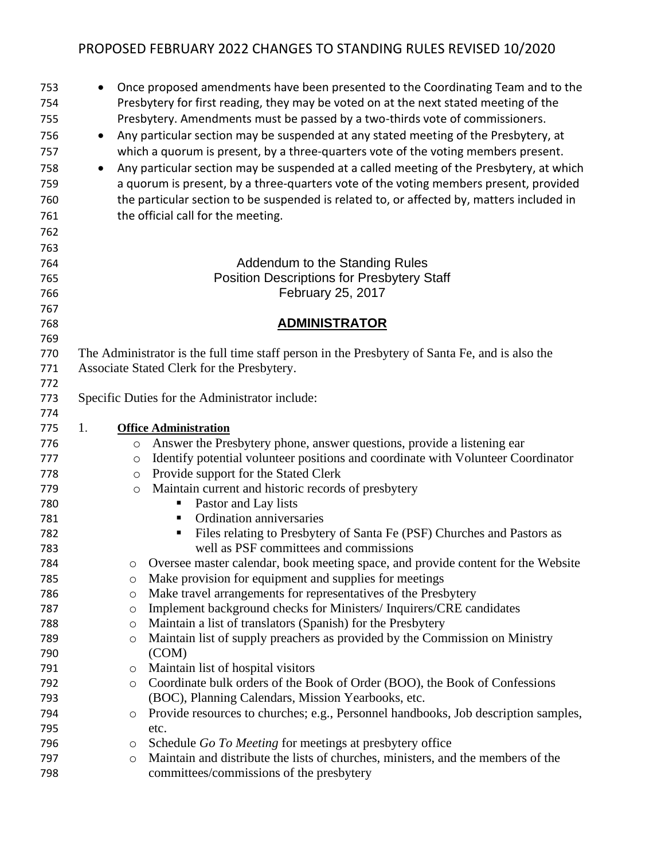| 753        | $\bullet$ | Once proposed amendments have been presented to the Coordinating Team and to the                                                           |
|------------|-----------|--------------------------------------------------------------------------------------------------------------------------------------------|
| 754        |           | Presbytery for first reading, they may be voted on at the next stated meeting of the                                                       |
| 755        |           | Presbytery. Amendments must be passed by a two-thirds vote of commissioners.                                                               |
| 756        | $\bullet$ | Any particular section may be suspended at any stated meeting of the Presbytery, at                                                        |
| 757        |           | which a quorum is present, by a three-quarters vote of the voting members present.                                                         |
| 758        | $\bullet$ | Any particular section may be suspended at a called meeting of the Presbytery, at which                                                    |
| 759        |           | a quorum is present, by a three-quarters vote of the voting members present, provided                                                      |
| 760        |           | the particular section to be suspended is related to, or affected by, matters included in                                                  |
| 761        |           | the official call for the meeting.                                                                                                         |
| 762        |           |                                                                                                                                            |
| 763        |           |                                                                                                                                            |
| 764        |           | Addendum to the Standing Rules                                                                                                             |
| 765        |           | <b>Position Descriptions for Presbytery Staff</b>                                                                                          |
| 766        |           | February 25, 2017                                                                                                                          |
| 767        |           |                                                                                                                                            |
| 768        |           | <b>ADMINISTRATOR</b>                                                                                                                       |
| 769        |           |                                                                                                                                            |
| 770        |           | The Administrator is the full time staff person in the Presbytery of Santa Fe, and is also the                                             |
| 771        |           | Associate Stated Clerk for the Presbytery.                                                                                                 |
| 772        |           |                                                                                                                                            |
| 773        |           | Specific Duties for the Administrator include:                                                                                             |
| 774        |           |                                                                                                                                            |
| 775        | 1.        | <b>Office Administration</b>                                                                                                               |
| 776        | $\circ$   | Answer the Presbytery phone, answer questions, provide a listening ear                                                                     |
| 777        | $\circ$   | Identify potential volunteer positions and coordinate with Volunteer Coordinator                                                           |
| 778        | O         | Provide support for the Stated Clerk                                                                                                       |
| 779        | $\circ$   | Maintain current and historic records of presbytery                                                                                        |
| 780        |           | Pastor and Lay lists<br>Ξ                                                                                                                  |
| 781        |           | Ordination anniversaries<br>п                                                                                                              |
| 782        |           | Files relating to Presbytery of Santa Fe (PSF) Churches and Pastors as<br>п                                                                |
| 783        |           | well as PSF committees and commissions                                                                                                     |
| 784        |           | Oversee master calendar, book meeting space, and provide content for the Website                                                           |
| 785        | O         | Make provision for equipment and supplies for meetings                                                                                     |
| 786        | $\circ$   | Make travel arrangements for representatives of the Presbytery                                                                             |
| 787        | $\circ$   | Implement background checks for Ministers/Inquirers/CRE candidates                                                                         |
| 788<br>789 | $\circ$   | Maintain a list of translators (Spanish) for the Presbytery<br>Maintain list of supply preachers as provided by the Commission on Ministry |
| 790        | O         | (COM)                                                                                                                                      |
| 791        | $\circ$   | Maintain list of hospital visitors                                                                                                         |
| 792        | $\circ$   | Coordinate bulk orders of the Book of Order (BOO), the Book of Confessions                                                                 |
| 793        |           | (BOC), Planning Calendars, Mission Yearbooks, etc.                                                                                         |
| 794        | O         | Provide resources to churches; e.g., Personnel handbooks, Job description samples,                                                         |
| 795        |           | etc.                                                                                                                                       |
| 796        | O         | Schedule Go To Meeting for meetings at presbytery office                                                                                   |
| 797        | $\circ$   | Maintain and distribute the lists of churches, ministers, and the members of the                                                           |
| 798        |           | committees/commissions of the presbytery                                                                                                   |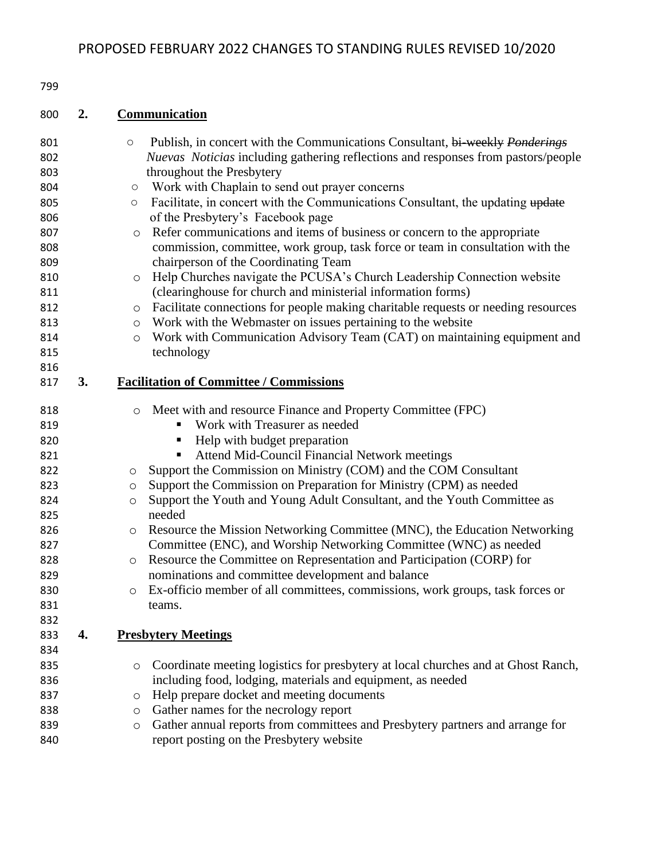### **2. Communication**

| 801        |    | $\bigcirc$ | Publish, in concert with the Communications Consultant, bi-weekly Ponderings                                           |
|------------|----|------------|------------------------------------------------------------------------------------------------------------------------|
| 802        |    |            | <i>Nuevas Noticias</i> including gathering reflections and responses from pastors/people                               |
| 803        |    |            | throughout the Presbytery                                                                                              |
| 804        |    | $\bigcirc$ | Work with Chaplain to send out prayer concerns                                                                         |
| 805        |    | $\bigcirc$ | Facilitate, in concert with the Communications Consultant, the updating update                                         |
| 806        |    |            | of the Presbytery's Facebook page                                                                                      |
| 807        |    | $\circ$    | Refer communications and items of business or concern to the appropriate                                               |
| 808<br>809 |    |            | commission, committee, work group, task force or team in consultation with the<br>chairperson of the Coordinating Team |
| 810        |    | $\circ$    | Help Churches navigate the PCUSA's Church Leadership Connection website                                                |
| 811        |    |            | (clearinghouse for church and ministerial information forms)                                                           |
| 812        |    | $\circ$    | Facilitate connections for people making charitable requests or needing resources                                      |
| 813        |    | $\circ$    | Work with the Webmaster on issues pertaining to the website                                                            |
| 814        |    | $\circ$    | Work with Communication Advisory Team (CAT) on maintaining equipment and                                               |
| 815        |    |            | technology                                                                                                             |
| 816        |    |            |                                                                                                                        |
| 817        | 3. |            | <b>Facilitation of Committee / Commissions</b>                                                                         |
|            |    |            |                                                                                                                        |
| 818        |    | $\circ$    | Meet with and resource Finance and Property Committee (FPC)                                                            |
| 819        |    |            | Work with Treasurer as needed                                                                                          |
| 820        |    |            | Help with budget preparation<br>п                                                                                      |
| 821        |    |            | Attend Mid-Council Financial Network meetings<br>٠                                                                     |
| 822        |    | O          | Support the Commission on Ministry (COM) and the COM Consultant                                                        |
| 823        |    | O          | Support the Commission on Preparation for Ministry (CPM) as needed                                                     |
| 824        |    | O          | Support the Youth and Young Adult Consultant, and the Youth Committee as                                               |
| 825        |    |            | needed                                                                                                                 |
| 826        |    | $\circ$    | Resource the Mission Networking Committee (MNC), the Education Networking                                              |
| 827        |    |            | Committee (ENC), and Worship Networking Committee (WNC) as needed                                                      |
| 828        |    | $\circ$    | Resource the Committee on Representation and Participation (CORP) for                                                  |
| 829        |    |            | nominations and committee development and balance                                                                      |
| 830        |    | $\circ$    | Ex-officio member of all committees, commissions, work groups, task forces or                                          |
| 831        |    |            | teams.                                                                                                                 |
| 832        |    |            |                                                                                                                        |
| 833        | 4. |            | <b>Presbytery Meetings</b>                                                                                             |
| 834        |    |            |                                                                                                                        |
| 835        |    | $\circ$    | Coordinate meeting logistics for presbytery at local churches and at Ghost Ranch,                                      |
| 836        |    |            | including food, lodging, materials and equipment, as needed                                                            |
| 837        |    | $\circ$    | Help prepare docket and meeting documents                                                                              |
| 838        |    | $\circ$    | Gather names for the necrology report                                                                                  |
| 839        |    | $\circ$    | Gather annual reports from committees and Presbytery partners and arrange for                                          |
| 840        |    |            | report posting on the Presbytery website                                                                               |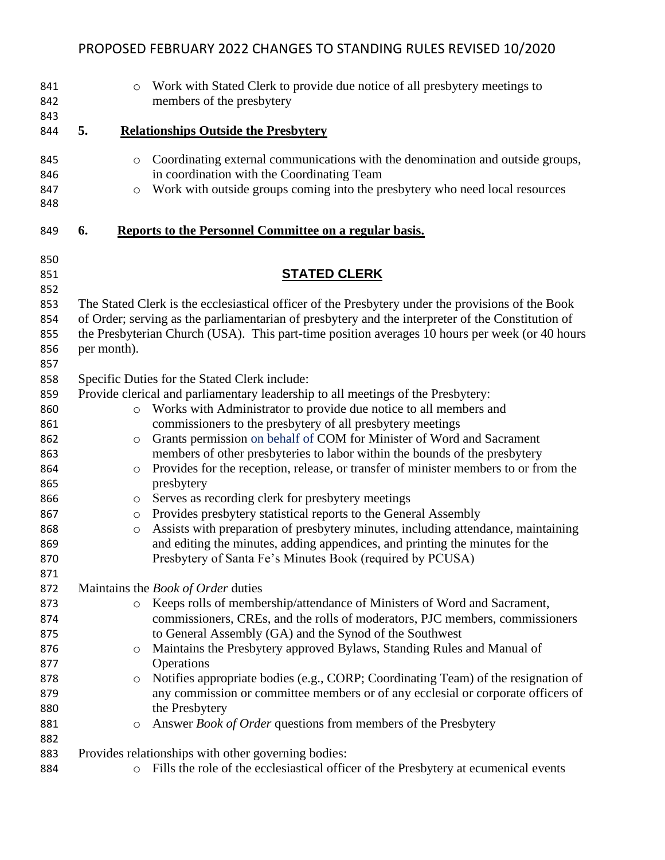| 841<br>842<br>843                                                                              |    | Work with Stated Clerk to provide due notice of all presbytery meetings to<br>$\circ$<br>members of the presbytery                                                                                                                                                                                                                                                                                                                                                                                                                                                                                                                                                                                                                                                                                                                                                                                                                                           |
|------------------------------------------------------------------------------------------------|----|--------------------------------------------------------------------------------------------------------------------------------------------------------------------------------------------------------------------------------------------------------------------------------------------------------------------------------------------------------------------------------------------------------------------------------------------------------------------------------------------------------------------------------------------------------------------------------------------------------------------------------------------------------------------------------------------------------------------------------------------------------------------------------------------------------------------------------------------------------------------------------------------------------------------------------------------------------------|
| 844                                                                                            | 5. | <b>Relationships Outside the Presbytery</b>                                                                                                                                                                                                                                                                                                                                                                                                                                                                                                                                                                                                                                                                                                                                                                                                                                                                                                                  |
| 845<br>846<br>847<br>848                                                                       |    | Coordinating external communications with the denomination and outside groups,<br>$\circ$<br>in coordination with the Coordinating Team<br>Work with outside groups coming into the presbytery who need local resources<br>$\circ$                                                                                                                                                                                                                                                                                                                                                                                                                                                                                                                                                                                                                                                                                                                           |
| 849                                                                                            | 6. | Reports to the Personnel Committee on a regular basis.                                                                                                                                                                                                                                                                                                                                                                                                                                                                                                                                                                                                                                                                                                                                                                                                                                                                                                       |
| 850                                                                                            |    |                                                                                                                                                                                                                                                                                                                                                                                                                                                                                                                                                                                                                                                                                                                                                                                                                                                                                                                                                              |
| 851<br>852                                                                                     |    | <b>STATED CLERK</b>                                                                                                                                                                                                                                                                                                                                                                                                                                                                                                                                                                                                                                                                                                                                                                                                                                                                                                                                          |
| 853<br>854<br>855<br>856<br>857                                                                |    | The Stated Clerk is the ecclesiastical officer of the Presbytery under the provisions of the Book<br>of Order; serving as the parliamentarian of presbytery and the interpreter of the Constitution of<br>the Presbyterian Church (USA). This part-time position averages 10 hours per week (or 40 hours<br>per month).                                                                                                                                                                                                                                                                                                                                                                                                                                                                                                                                                                                                                                      |
| 858<br>859<br>860<br>861<br>862<br>863<br>864<br>865<br>866<br>867<br>868<br>869<br>870<br>871 |    | Specific Duties for the Stated Clerk include:<br>Provide clerical and parliamentary leadership to all meetings of the Presbytery:<br>Works with Administrator to provide due notice to all members and<br>$\circ$<br>commissioners to the presbytery of all presbytery meetings<br>Grants permission on behalf of COM for Minister of Word and Sacrament<br>$\circ$<br>members of other presbyteries to labor within the bounds of the presbytery<br>Provides for the reception, release, or transfer of minister members to or from the<br>$\circ$<br>presbytery<br>Serves as recording clerk for presbytery meetings<br>$\circ$<br>Provides presbytery statistical reports to the General Assembly<br>$\circ$<br>Assists with preparation of presbytery minutes, including attendance, maintaining<br>$\circ$<br>and editing the minutes, adding appendices, and printing the minutes for the<br>Presbytery of Santa Fe's Minutes Book (required by PCUSA) |
| 872<br>873<br>874<br>875<br>876<br>877<br>878<br>879<br>880<br>881<br>882                      |    | Maintains the Book of Order duties<br>Keeps rolls of membership/attendance of Ministers of Word and Sacrament,<br>$\circ$<br>commissioners, CREs, and the rolls of moderators, PJC members, commissioners<br>to General Assembly (GA) and the Synod of the Southwest<br>Maintains the Presbytery approved Bylaws, Standing Rules and Manual of<br>O<br>Operations<br>Notifies appropriate bodies (e.g., CORP; Coordinating Team) of the resignation of<br>$\circ$<br>any commission or committee members or of any ecclesial or corporate officers of<br>the Presbytery<br>Answer Book of Order questions from members of the Presbytery<br>$\circ$                                                                                                                                                                                                                                                                                                          |
| 883                                                                                            |    | Provides relationships with other governing bodies:                                                                                                                                                                                                                                                                                                                                                                                                                                                                                                                                                                                                                                                                                                                                                                                                                                                                                                          |
| 884                                                                                            |    | Fills the role of the ecclesiastical officer of the Presbytery at ecumenical events<br>$\circ$                                                                                                                                                                                                                                                                                                                                                                                                                                                                                                                                                                                                                                                                                                                                                                                                                                                               |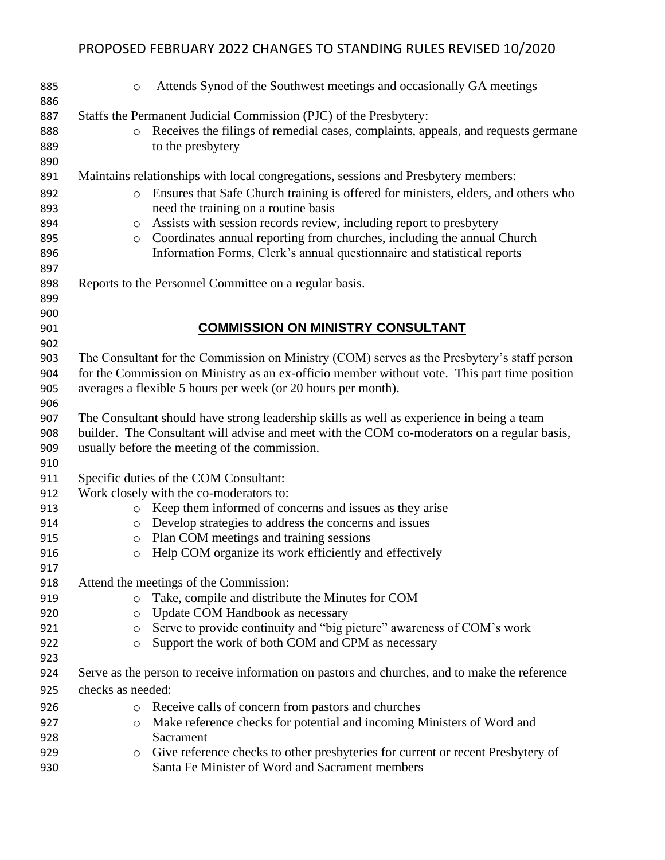| 885<br>886                                    | Attends Synod of the Southwest meetings and occasionally GA meetings<br>$\circ$                                                                                                                                                                                                                                                                                                                                                                                                |
|-----------------------------------------------|--------------------------------------------------------------------------------------------------------------------------------------------------------------------------------------------------------------------------------------------------------------------------------------------------------------------------------------------------------------------------------------------------------------------------------------------------------------------------------|
| 887<br>888<br>889<br>890                      | Staffs the Permanent Judicial Commission (PJC) of the Presbytery:<br>Receives the filings of remedial cases, complaints, appeals, and requests germane<br>$\circ$<br>to the presbytery                                                                                                                                                                                                                                                                                         |
| 891<br>892<br>893<br>894<br>895<br>896        | Maintains relationships with local congregations, sessions and Presbytery members:<br>Ensures that Safe Church training is offered for ministers, elders, and others who<br>$\circ$<br>need the training on a routine basis<br>Assists with session records review, including report to presbytery<br>$\circ$<br>Coordinates annual reporting from churches, including the annual Church<br>$\circ$<br>Information Forms, Clerk's annual questionnaire and statistical reports |
| 897<br>898<br>899<br>900                      | Reports to the Personnel Committee on a regular basis.                                                                                                                                                                                                                                                                                                                                                                                                                         |
| 901<br>902                                    | <b>COMMISSION ON MINISTRY CONSULTANT</b>                                                                                                                                                                                                                                                                                                                                                                                                                                       |
| 903<br>904<br>905<br>906                      | The Consultant for the Commission on Ministry (COM) serves as the Presbytery's staff person<br>for the Commission on Ministry as an ex-officio member without vote. This part time position<br>averages a flexible 5 hours per week (or 20 hours per month).                                                                                                                                                                                                                   |
| 907<br>908<br>909                             | The Consultant should have strong leadership skills as well as experience in being a team<br>builder. The Consultant will advise and meet with the COM co-moderators on a regular basis,<br>usually before the meeting of the commission.                                                                                                                                                                                                                                      |
| 910<br>911<br>912<br>913<br>914<br>915<br>916 | Specific duties of the COM Consultant:<br>Work closely with the co-moderators to:<br>Keep them informed of concerns and issues as they arise<br>$\circ$<br>Develop strategies to address the concerns and issues<br>$\circ$<br>Plan COM meetings and training sessions<br>$\circ$<br>Help COM organize its work efficiently and effectively<br>$\circ$                                                                                                                         |
| 917<br>918<br>919<br>920<br>921               | Attend the meetings of the Commission:<br>Take, compile and distribute the Minutes for COM<br>$\circ$<br>Update COM Handbook as necessary<br>$\circ$<br>Serve to provide continuity and "big picture" awareness of COM's work<br>$\circ$                                                                                                                                                                                                                                       |
| 922<br>923                                    | Support the work of both COM and CPM as necessary<br>$\circ$                                                                                                                                                                                                                                                                                                                                                                                                                   |
| 924<br>925                                    | Serve as the person to receive information on pastors and churches, and to make the reference<br>checks as needed:                                                                                                                                                                                                                                                                                                                                                             |
| 926                                           | Receive calls of concern from pastors and churches<br>$\circ$                                                                                                                                                                                                                                                                                                                                                                                                                  |
| 927<br>928                                    | Make reference checks for potential and incoming Ministers of Word and<br>$\circ$<br>Sacrament                                                                                                                                                                                                                                                                                                                                                                                 |
| 929<br>930                                    | Give reference checks to other presbyteries for current or recent Presbytery of<br>$\circ$<br>Santa Fe Minister of Word and Sacrament members                                                                                                                                                                                                                                                                                                                                  |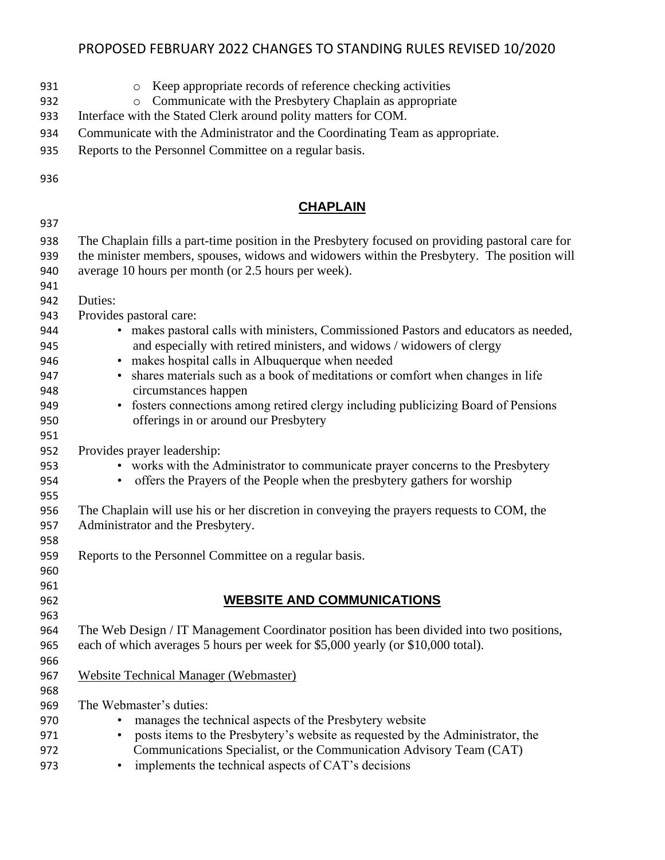| 931<br>932<br>933 | Keep appropriate records of reference checking activities<br>$\circ$<br>Communicate with the Presbytery Chaplain as appropriate<br>$\circ$<br>Interface with the Stated Clerk around polity matters for COM. |
|-------------------|--------------------------------------------------------------------------------------------------------------------------------------------------------------------------------------------------------------|
| 934               | Communicate with the Administrator and the Coordinating Team as appropriate.                                                                                                                                 |
| 935               | Reports to the Personnel Committee on a regular basis.                                                                                                                                                       |
|                   |                                                                                                                                                                                                              |
| 936               |                                                                                                                                                                                                              |
|                   | <b>CHAPLAIN</b>                                                                                                                                                                                              |
| 937               |                                                                                                                                                                                                              |
| 938               | The Chaplain fills a part-time position in the Presbytery focused on providing pastoral care for                                                                                                             |
| 939               | the minister members, spouses, widows and widowers within the Presbytery. The position will                                                                                                                  |
| 940               | average 10 hours per month (or 2.5 hours per week).                                                                                                                                                          |
| 941               |                                                                                                                                                                                                              |
| 942               | Duties:                                                                                                                                                                                                      |
| 943               | Provides pastoral care:                                                                                                                                                                                      |
| 944               | makes pastoral calls with ministers, Commissioned Pastors and educators as needed,                                                                                                                           |
| 945               | and especially with retired ministers, and widows / widowers of clergy                                                                                                                                       |
| 946               | • makes hospital calls in Albuquerque when needed                                                                                                                                                            |
| 947               | shares materials such as a book of meditations or comfort when changes in life                                                                                                                               |
| 948               | circumstances happen                                                                                                                                                                                         |
| 949               | fosters connections among retired clergy including publicizing Board of Pensions<br>$\bullet$                                                                                                                |
| 950               | offerings in or around our Presbytery                                                                                                                                                                        |
| 951               |                                                                                                                                                                                                              |
| 952               | Provides prayer leadership:                                                                                                                                                                                  |
| 953               | • works with the Administrator to communicate prayer concerns to the Presbytery                                                                                                                              |
| 954               | • offers the Prayers of the People when the presbytery gathers for worship                                                                                                                                   |
| 955               |                                                                                                                                                                                                              |
| 956               | The Chaplain will use his or her discretion in conveying the prayers requests to COM, the                                                                                                                    |
| 957               | Administrator and the Presbytery.                                                                                                                                                                            |
| 958               |                                                                                                                                                                                                              |
| 959               | Reports to the Personnel Committee on a regular basis.                                                                                                                                                       |
| 960               |                                                                                                                                                                                                              |
| 961               |                                                                                                                                                                                                              |
| 962               | <b>WEBSITE AND COMMUNICATIONS</b>                                                                                                                                                                            |
| 963<br>964        | The Web Design / IT Management Coordinator position has been divided into two positions,                                                                                                                     |
| 965               | each of which averages 5 hours per week for \$5,000 yearly (or \$10,000 total).                                                                                                                              |
| 966               |                                                                                                                                                                                                              |
| 967               | <b>Website Technical Manager (Webmaster)</b>                                                                                                                                                                 |
| 968               |                                                                                                                                                                                                              |
| 969               | The Webmaster's duties:                                                                                                                                                                                      |
| 970               | manages the technical aspects of the Presbytery website                                                                                                                                                      |
| 971               | posts items to the Presbytery's website as requested by the Administrator, the                                                                                                                               |
| 972               | Communications Specialist, or the Communication Advisory Team (CAT)                                                                                                                                          |
| 973               | implements the technical aspects of CAT's decisions                                                                                                                                                          |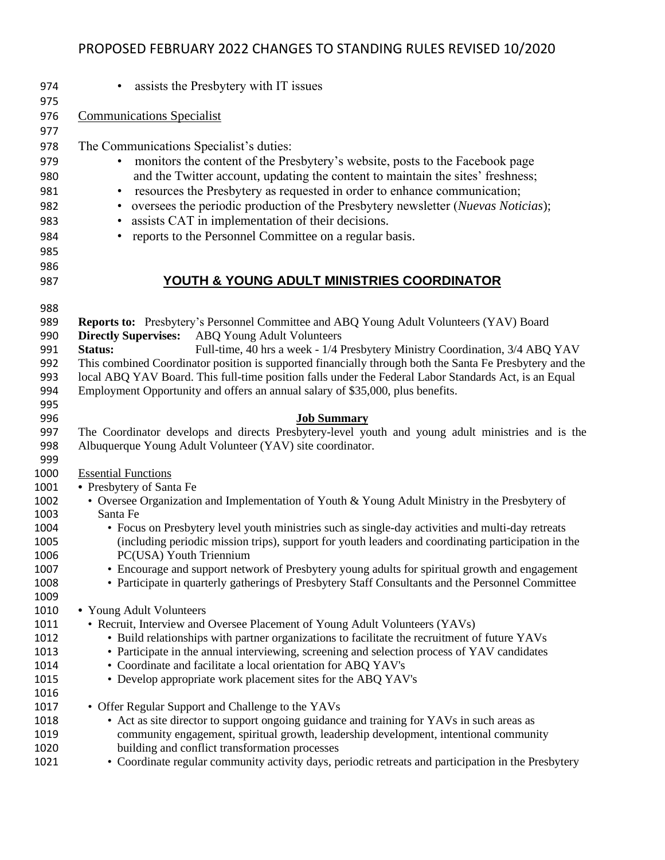• assists the Presbytery with IT issues Communications Specialist The Communications Specialist's duties: • monitors the content of the Presbytery's website, posts to the Facebook page and the Twitter account, updating the content to maintain the sites' freshness; • resources the Presbytery as requested in order to enhance communication; • oversees the periodic production of the Presbytery newsletter (*Nuevas Noticias*); • assists CAT in implementation of their decisions. • reports to the Personnel Committee on a regular basis. **YOUTH & YOUNG ADULT MINISTRIES COORDINATOR** 988<br>989 **Reports to:** Presbytery's Personnel Committee and ABQ Young Adult Volunteers (YAV) Board **Directly Supervises:** ABQ Young Adult Volunteers **Status:** Full-time, 40 hrs a week - 1/4 Presbytery Ministry Coordination, 3/4 ABQ YAV This combined Coordinator position is supported financially through both the Santa Fe Presbytery and the local ABQ YAV Board. This full-time position falls under the Federal Labor Standards Act, is an Equal Employment Opportunity and offers an annual salary of \$35,000, plus benefits. 995<br>996 **Job Summary**  The Coordinator develops and directs Presbytery-level youth and young adult ministries and is the Albuquerque Young Adult Volunteer (YAV) site coordinator. Essential Functions **•** Presbytery of Santa Fe • Oversee Organization and Implementation of Youth & Young Adult Ministry in the Presbytery of Santa Fe • Focus on Presbytery level youth ministries such as single-day activities and multi-day retreats (including periodic mission trips), support for youth leaders and coordinating participation in the PC(USA) Youth Triennium • Encourage and support network of Presbytery young adults for spiritual growth and engagement • Participate in quarterly gatherings of Presbytery Staff Consultants and the Personnel Committee **•** Young Adult Volunteers • Recruit, Interview and Oversee Placement of Young Adult Volunteers (YAVs) • Build relationships with partner organizations to facilitate the recruitment of future YAVs • Participate in the annual interviewing, screening and selection process of YAV candidates • Coordinate and facilitate a local orientation for ABQ YAV's • Develop appropriate work placement sites for the ABQ YAV's 1017 • Offer Regular Support and Challenge to the YAVs 1018 • Act as site director to support ongoing guidance and training for YAVs in such areas as community engagement, spiritual growth, leadership development, intentional community building and conflict transformation processes • Coordinate regular community activity days, periodic retreats and participation in the Presbytery